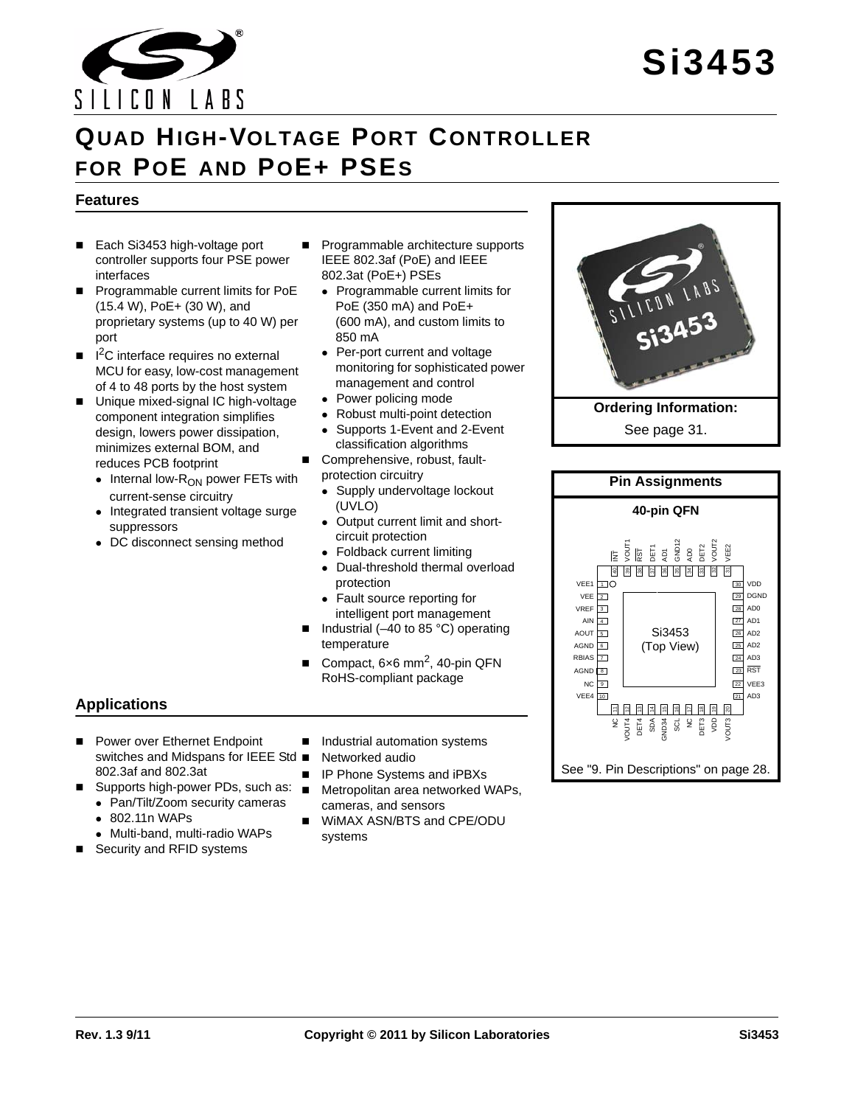

# **QUAD HIGH-VOLTAGE PORT CONTROLLER FOR POE AND POE+ PSES**

#### **Features**

- Each Si3453 high-voltage port controller supports four PSE power interfaces
- **Programmable current limits for PoE** (15.4 W), PoE+ (30 W), and proprietary systems (up to 40 W) per port
- $\blacksquare$   $\blacksquare$   $\blacksquare$   $\blacksquare$   $\blacksquare$   $\blacksquare$   $\blacksquare$   $\blacksquare$   $\blacksquare$   $\blacksquare$   $\blacksquare$   $\blacksquare$   $\blacksquare$   $\blacksquare$   $\blacksquare$   $\blacksquare$   $\blacksquare$   $\blacksquare$   $\blacksquare$   $\blacksquare$   $\blacksquare$   $\blacksquare$   $\blacksquare$   $\blacksquare$   $\blacksquare$   $\blacksquare$   $\blacksquare$   $\blacksquare$   $\blacksquare$   $\blacksquare$   $\blacksquare$   $\blacks$ MCU for easy, low-cost management of 4 to 48 ports by the host system
- Unique mixed-signal IC high-voltage component integration simplifies design, lowers power dissipation, minimizes external BOM, and reduces PCB footprint
	- $\bullet$  Internal low- $R_{ON}$  power FETs with current-sense circuitry
	- Integrated transient voltage surge suppressors
	- DC disconnect sensing method
- **Programmable architecture supports** IEEE 802.3af (PoE) and IEEE 802.3at (PoE+) PSEs
	- Programmable current limits for PoE (350 mA) and PoE+ (600 mA), and custom limits to 850 mA
	- Per-port current and voltage monitoring for sophisticated power management and control
	- Power policing mode
	- Robust multi-point detection
	- Supports 1-Event and 2-Event classification algorithms
- Comprehensive, robust, fault
	- protection circuitry
	- Supply undervoltage lockout (UVLO)
	- Output current limit and shortcircuit protection
	- Foldback current limiting
	- Dual-threshold thermal overload protection
	- Fault source reporting for intelligent port management
- Industrial (–40 to 85 °C) operating temperature
- Compact, 6×6 mm2, 40-pin QFN RoHS-compliant package

### **Applications**

- Power over Ethernet Endpoint switches and Midspans for IEEE Std ■ Networked audio 802.3af and 802.3at
- Supports high-power PDs, such as:  $\blacksquare$ 
	- Pan/Tilt/Zoom security cameras
	- 802.11n WAPs
	- Multi-band, multi-radio WAPs
- Security and RFID systems
- Industrial automation systems

- IP Phone Systems and iPBXs
- Metropolitan area networked WAPs, cameras, and sensors
- WiMAX ASN/BTS and CPE/ODU systems



See [page 31.](#page-30-0)

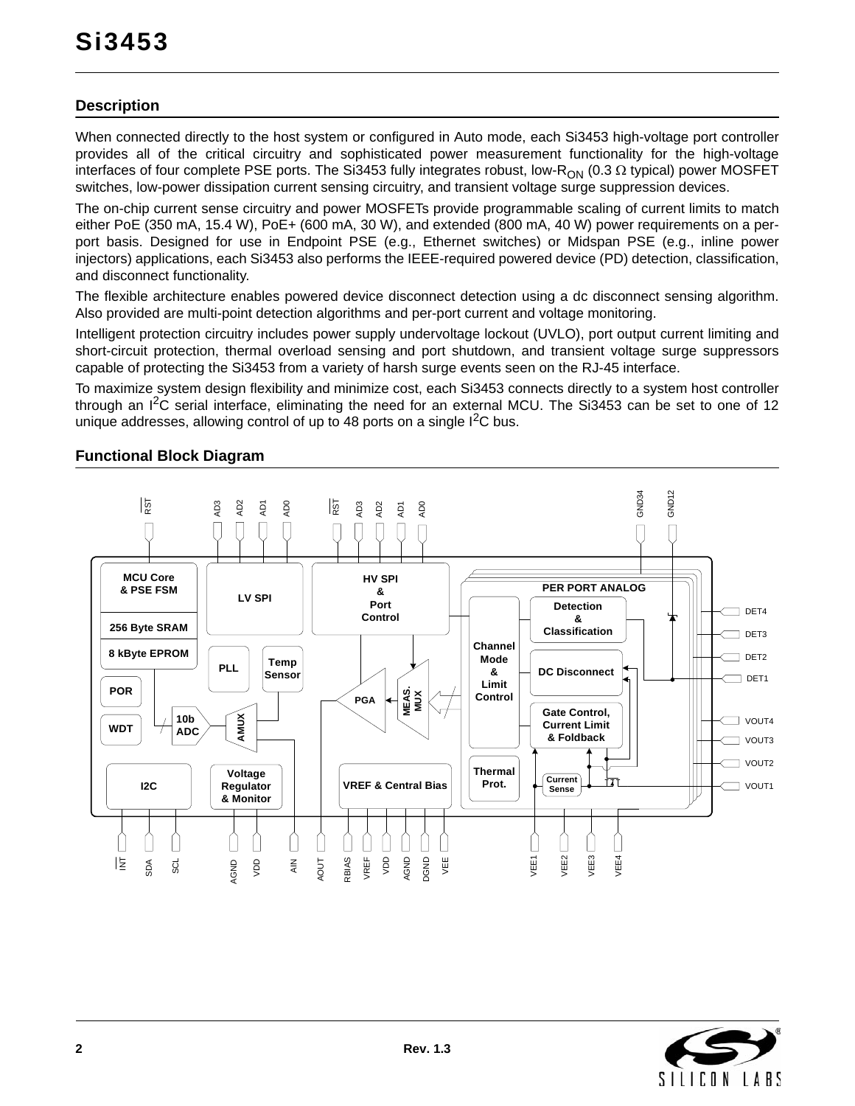### **Description**

When connected directly to the host system or configured in Auto mode, each Si3453 high-voltage port controller provides all of the critical circuitry and sophisticated power measurement functionality for the high-voltage interfaces of four complete PSE ports. The Si3453 fully integrates robust, low-R<sub>ON</sub> (0.3  $\Omega$  typical) power MOSFET switches, low-power dissipation current sensing circuitry, and transient voltage surge suppression devices.

The on-chip current sense circuitry and power MOSFETs provide programmable scaling of current limits to match either PoE (350 mA, 15.4 W), PoE+ (600 mA, 30 W), and extended (800 mA, 40 W) power requirements on a perport basis. Designed for use in Endpoint PSE (e.g., Ethernet switches) or Midspan PSE (e.g., inline power injectors) applications, each Si3453 also performs the IEEE-required powered device (PD) detection, classification, and disconnect functionality.

The flexible architecture enables powered device disconnect detection using a dc disconnect sensing algorithm. Also provided are multi-point detection algorithms and per-port current and voltage monitoring.

Intelligent protection circuitry includes power supply undervoltage lockout (UVLO), port output current limiting and short-circuit protection, thermal overload sensing and port shutdown, and transient voltage surge suppressors capable of protecting the Si3453 from a variety of harsh surge events seen on the RJ-45 interface.

To maximize system design flexibility and minimize cost, each Si3453 connects directly to a system host controller through an I2C serial interface, eliminating the need for an external MCU. The Si3453 can be set to one of 12 unique addresses, allowing control of up to 48 ports on a single  $I^2C$  bus.

#### **Functional Block Diagram**



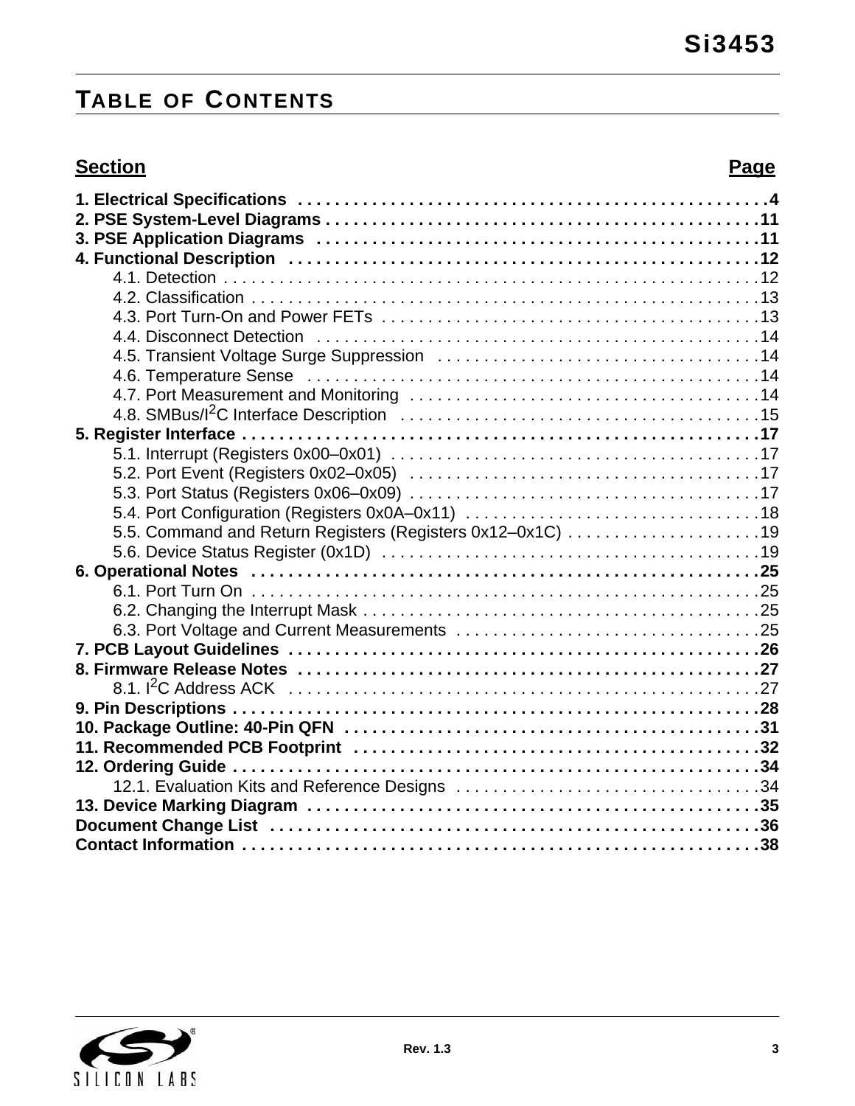# **TABLE OF CONTENTS**

# **Section Page**

| 5.5. Command and Return Registers (Registers 0x12-0x1C) 19 |
|------------------------------------------------------------|
|                                                            |
|                                                            |
|                                                            |
|                                                            |
|                                                            |
|                                                            |
|                                                            |
|                                                            |
|                                                            |
|                                                            |
|                                                            |
|                                                            |
|                                                            |
|                                                            |
|                                                            |
|                                                            |

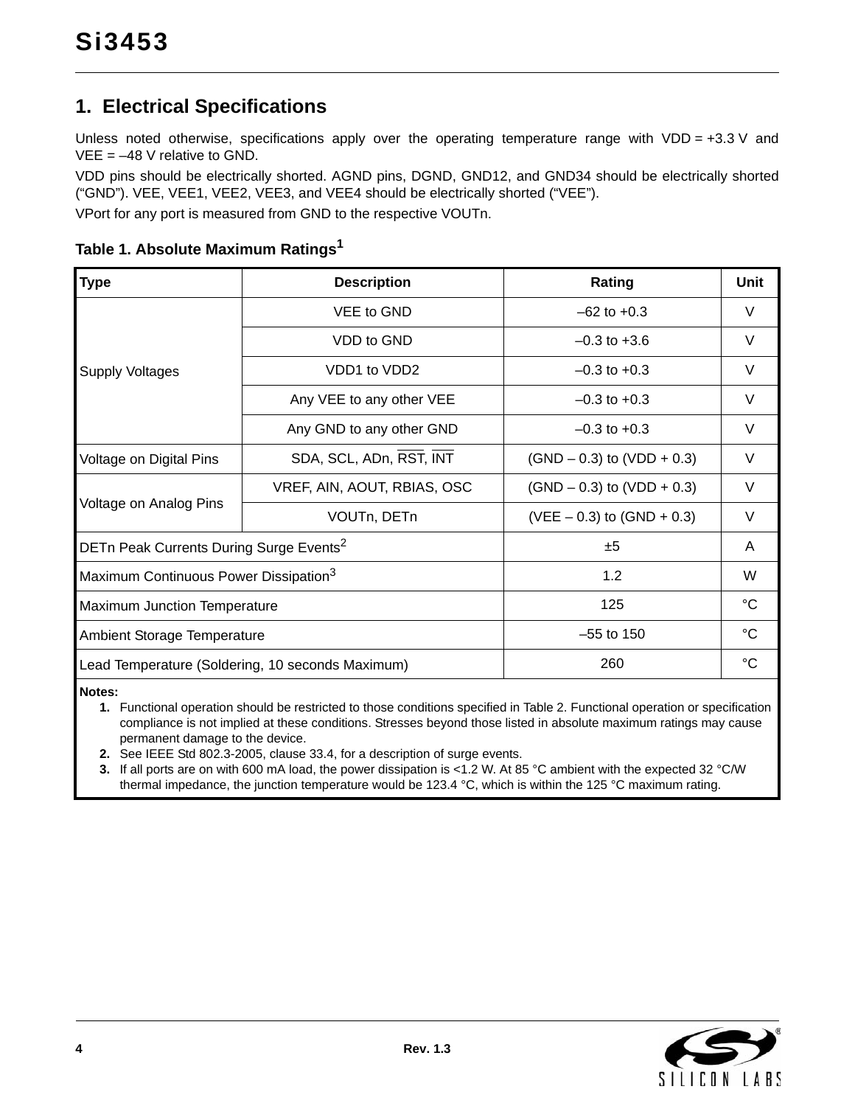# <span id="page-3-0"></span>**1. Electrical Specifications**

Unless noted otherwise, specifications apply over the operating temperature range with VDD =  $+3.3$  V and  $VEE = -48$  V relative to GND.

VDD pins should be electrically shorted. AGND pins, DGND, GND12, and GND34 should be electrically shorted ("GND"). VEE, VEE1, VEE2, VEE3, and VEE4 should be electrically shorted ("VEE").

VPort for any port is measured from GND to the respective VOUTn.

| Type                                                | <b>Description</b>                               | Rating                         | Unit        |
|-----------------------------------------------------|--------------------------------------------------|--------------------------------|-------------|
|                                                     | VEE to GND                                       | $-62$ to $+0.3$                | V           |
|                                                     | VDD to GND                                       | $-0.3$ to $+3.6$               | V           |
| <b>Supply Voltages</b>                              | VDD1 to VDD2                                     | $-0.3$ to $+0.3$               | V           |
|                                                     | Any VEE to any other VEE                         | $-0.3$ to $+0.3$               | V           |
|                                                     | Any GND to any other GND                         | $-0.3$ to $+0.3$               | V           |
| Voltage on Digital Pins                             | SDA, SCL, ADn, RST, INT                          | $(SND - 0.3)$ to $(VDD + 0.3)$ | $\vee$      |
|                                                     | VREF, AIN, AOUT, RBIAS, OSC                      | $(SND - 0.3)$ to $(VDD + 0.3)$ | V           |
| Voltage on Analog Pins                              | VOUTn, DETn                                      | $(VEE – 0.3)$ to $(SND + 0.3)$ | V           |
| DETn Peak Currents During Surge Events <sup>2</sup> |                                                  | ±5                             | A           |
| Maximum Continuous Power Dissipation <sup>3</sup>   |                                                  | 1.2                            | W           |
| Maximum Junction Temperature                        |                                                  | 125                            | $^{\circ}C$ |
| <b>Ambient Storage Temperature</b>                  |                                                  | $-55$ to 150                   | °C          |
|                                                     | Lead Temperature (Soldering, 10 seconds Maximum) | 260                            | $^{\circ}C$ |

**Table 1. Absolute Maximum Rating[s1](#page-3-3)**

<span id="page-3-3"></span>**Notes:**

**1.** Functional operation should be restricted to those conditions specified in [Table 2.](#page-4-0) Functional operation or specification compliance is not implied at these conditions. Stresses beyond those listed in absolute maximum ratings may cause permanent damage to the device.

<span id="page-3-2"></span>**2.** See IEEE Std 802.3-2005, clause 33.4, for a description of surge events.

<span id="page-3-1"></span>**3.** If all ports are on with 600 mA load, the power dissipation is <1.2 W. At 85 °C ambient with the expected 32 °C/W thermal impedance, the junction temperature would be 123.4 °C, which is within the 125 °C maximum rating.

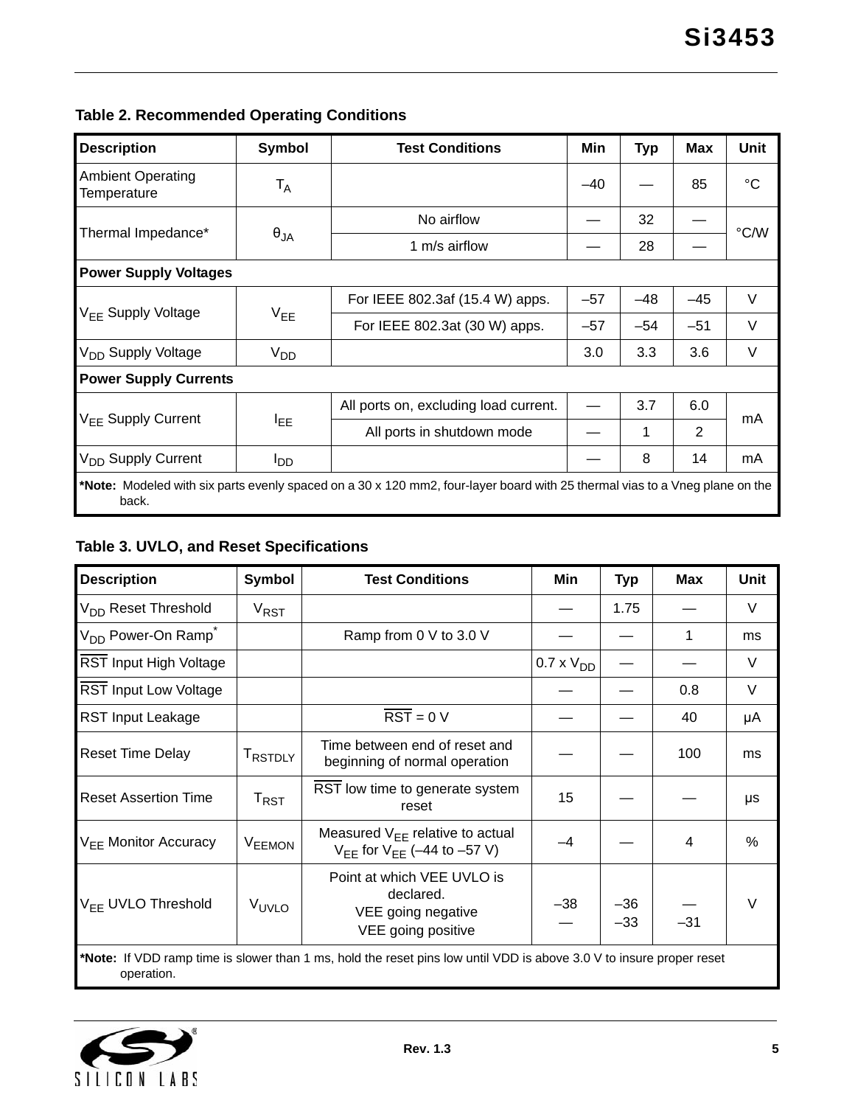# <span id="page-4-0"></span>**Table 2. Recommended Operating Conditions**

| <b>Description</b>                                                                                                                   | Symbol          | <b>Test Conditions</b>                | Min   | <b>Typ</b> | <b>Max</b> | <b>Unit</b> |  |
|--------------------------------------------------------------------------------------------------------------------------------------|-----------------|---------------------------------------|-------|------------|------------|-------------|--|
| <b>Ambient Operating</b><br>Temperature                                                                                              | T <sub>A</sub>  |                                       | $-40$ |            | 85         | $^{\circ}C$ |  |
|                                                                                                                                      |                 | No airflow                            |       | 32         |            | °C/W        |  |
| Thermal Impedance*                                                                                                                   | $\theta_{JA}$   | 1 m/s airflow                         |       | 28         |            |             |  |
| <b>Power Supply Voltages</b>                                                                                                         |                 |                                       |       |            |            |             |  |
|                                                                                                                                      | $V_{EE}$        | For IEEE 802.3af (15.4 W) apps.       | $-57$ | $-48$      | $-45$      | $\vee$      |  |
| V <sub>FF</sub> Supply Voltage                                                                                                       |                 | For IEEE 802.3at (30 W) apps.         | $-57$ | $-54$      | $-51$      | $\vee$      |  |
| V <sub>DD</sub> Supply Voltage                                                                                                       | V <sub>DD</sub> |                                       | 3.0   | 3.3        | 3.6        | V           |  |
| <b>Power Supply Currents</b>                                                                                                         |                 |                                       |       |            |            |             |  |
|                                                                                                                                      |                 | All ports on, excluding load current. |       | 3.7        | 6.0        |             |  |
| V <sub>FF</sub> Supply Current                                                                                                       | <b>LEE</b>      | All ports in shutdown mode            |       | 1          | 2          | mA          |  |
| V <sub>DD</sub> Supply Current                                                                                                       | OD              |                                       |       | 8          | 14         | mA          |  |
| *Note: Modeled with six parts evenly spaced on a 30 x 120 mm2, four-layer board with 25 thermal vias to a Vneg plane on the<br>back. |                 |                                       |       |            |            |             |  |

# <span id="page-4-1"></span>**Table 3. UVLO, and Reset Specifications**

| <b>Description</b>                                                                                                                 | Symbol             | <b>Test Conditions</b>                                                              | Min                 | <b>Typ</b>     | <b>Max</b> | Unit   |  |  |
|------------------------------------------------------------------------------------------------------------------------------------|--------------------|-------------------------------------------------------------------------------------|---------------------|----------------|------------|--------|--|--|
| V <sub>DD</sub> Reset Threshold                                                                                                    | $V_{RST}$          |                                                                                     |                     | 1.75           |            | $\vee$ |  |  |
| V <sub>DD</sub> Power-On Ramp <sup>*</sup>                                                                                         |                    | Ramp from 0 V to 3.0 V                                                              |                     |                | 1          | ms     |  |  |
| <b>RST Input High Voltage</b>                                                                                                      |                    |                                                                                     | $0.7 \times V_{DD}$ |                |            | V      |  |  |
| <b>RST Input Low Voltage</b>                                                                                                       |                    |                                                                                     |                     |                | 0.8        | $\vee$ |  |  |
| <b>RST Input Leakage</b>                                                                                                           |                    | $\overline{\text{RST}} = 0 \text{ V}$                                               |                     |                | 40         | μA     |  |  |
| <b>Reset Time Delay</b>                                                                                                            | <b>TRSTDLY</b>     | Time between end of reset and<br>beginning of normal operation                      |                     |                | 100        | ms     |  |  |
| <b>Reset Assertion Time</b>                                                                                                        | $T_{\sf RST}$      | RST low time to generate system<br>reset                                            | 15                  |                |            | μs     |  |  |
| $V_{FF}$ Monitor Accuracy                                                                                                          | V <sub>EEMON</sub> | Measured $V_{FF}$ relative to actual<br>$V_{FF}$ for $V_{FF}$ (-44 to -57 V)        | $-4$                |                | 4          | $\%$   |  |  |
| V <sub>FF</sub> UVLO Threshold                                                                                                     | V <sub>UVLO</sub>  | Point at which VEE UVLO is<br>declared.<br>VEE going negative<br>VEE going positive | –38                 | $-36$<br>$-33$ | $-31$      | $\vee$ |  |  |
| *Note: If VDD ramp time is slower than 1 ms, hold the reset pins low until VDD is above 3.0 V to insure proper reset<br>operation. |                    |                                                                                     |                     |                |            |        |  |  |

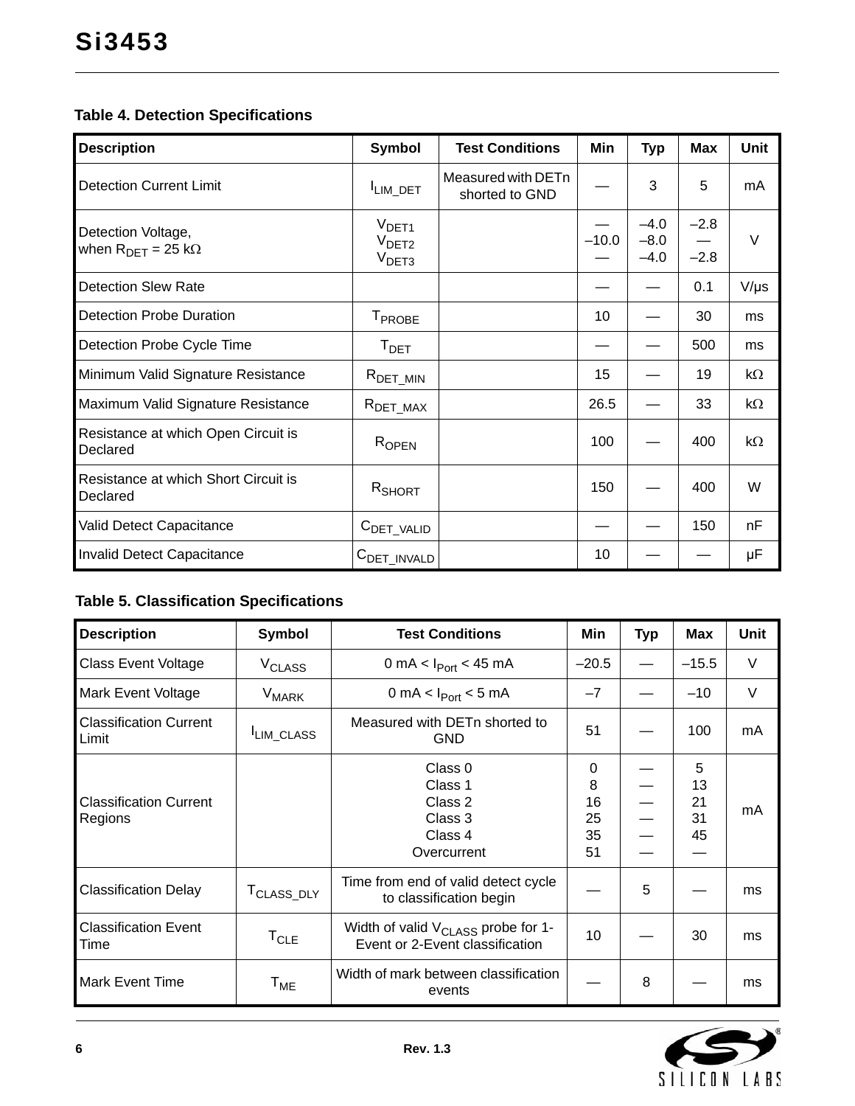# **Table 4. Detection Specifications**

| <b>Description</b>                                | <b>Symbol</b>                                               | <b>Test Conditions</b>               | Min     | <b>Typ</b>                 | <b>Max</b>       | Unit      |
|---------------------------------------------------|-------------------------------------------------------------|--------------------------------------|---------|----------------------------|------------------|-----------|
| <b>Detection Current Limit</b>                    | <sup>I</sup> LIM_DET                                        | Measured with DETn<br>shorted to GND |         | 3                          | 5                | mA        |
| Detection Voltage,<br>when $R_{DET} = 25 k\Omega$ | $V_{\text{DET1}}$<br>V <sub>DET2</sub><br>V <sub>DET3</sub> |                                      | $-10.0$ | $-4.0$<br>$-8.0$<br>$-4.0$ | $-2.8$<br>$-2.8$ | $\vee$    |
| <b>Detection Slew Rate</b>                        |                                                             |                                      |         |                            | 0.1              | $V/\mu s$ |
| <b>Detection Probe Duration</b>                   | T <sub>PROBE</sub>                                          |                                      | 10      |                            | 30               | ms        |
| Detection Probe Cycle Time                        | $T_{\text{DET}}$                                            |                                      |         |                            | 500              | ms        |
| Minimum Valid Signature Resistance                | $R_{\text{DET\_MIN}}$                                       |                                      | 15      |                            | 19               | $k\Omega$ |
| Maximum Valid Signature Resistance                | $R_{\text{DET\_MAX}}$                                       |                                      | 26.5    |                            | 33               | kΩ        |
| Resistance at which Open Circuit is<br>Declared   | ROPEN                                                       |                                      | 100     |                            | 400              | $k\Omega$ |
| Resistance at which Short Circuit is<br>Declared  | R <sub>SHORT</sub>                                          |                                      | 150     |                            | 400              | W         |
| Valid Detect Capacitance                          | $CDET_VALID$                                                |                                      |         |                            | 150              | nF        |
| <b>Invalid Detect Capacitance</b>                 | C <sub>DET</sub> INVALD                                     |                                      | 10      |                            |                  | μF        |

# **Table 5. Classification Specifications**

| <b>Description</b>                     | Symbol                   | <b>Test Conditions</b>                                                            | Min      | <b>Typ</b> | <b>Max</b> | <b>Unit</b> |
|----------------------------------------|--------------------------|-----------------------------------------------------------------------------------|----------|------------|------------|-------------|
| <b>Class Event Voltage</b>             | <b>V<sub>CLASS</sub></b> | 0 mA < $I_{Port}$ < 45 mA                                                         | $-20.5$  |            | $-15.5$    | $\vee$      |
| <b>Mark Event Voltage</b>              | <b>V<sub>MARK</sub></b>  | 0 mA < $I_{Port}$ < 5 mA                                                          | $-7$     |            | $-10$      | $\vee$      |
| <b>Classification Current</b><br>Limit | <sup>I</sup> LIM_CLASS   | Measured with DETn shorted to<br><b>GND</b>                                       | 51       |            | 100        | mA          |
|                                        |                          | Class 0                                                                           | $\Omega$ |            | 5          |             |
| <b>Classification Current</b>          |                          | Class 1                                                                           | 8        |            | 13         |             |
|                                        |                          | Class 2                                                                           | 16       |            | 21         | mA          |
| Regions                                |                          | Class 3                                                                           | 25       |            | 31         |             |
|                                        |                          | Class 4                                                                           | 35       |            | 45         |             |
|                                        |                          | Overcurrent                                                                       | 51       |            |            |             |
| <b>Classification Delay</b>            | T <sub>CLASS</sub> DLY   | Time from end of valid detect cycle<br>to classification begin                    |          | 5          |            | ms          |
| <b>Classification Event</b><br>Time    | $T_{CLE}$                | Width of valid V <sub>CLASS</sub> probe for 1-<br>Event or 2-Event classification | 10       |            | 30         | ms          |
| <b>Mark Event Time</b>                 | $T_{ME}$                 | Width of mark between classification<br>events                                    |          | 8          |            | ms          |

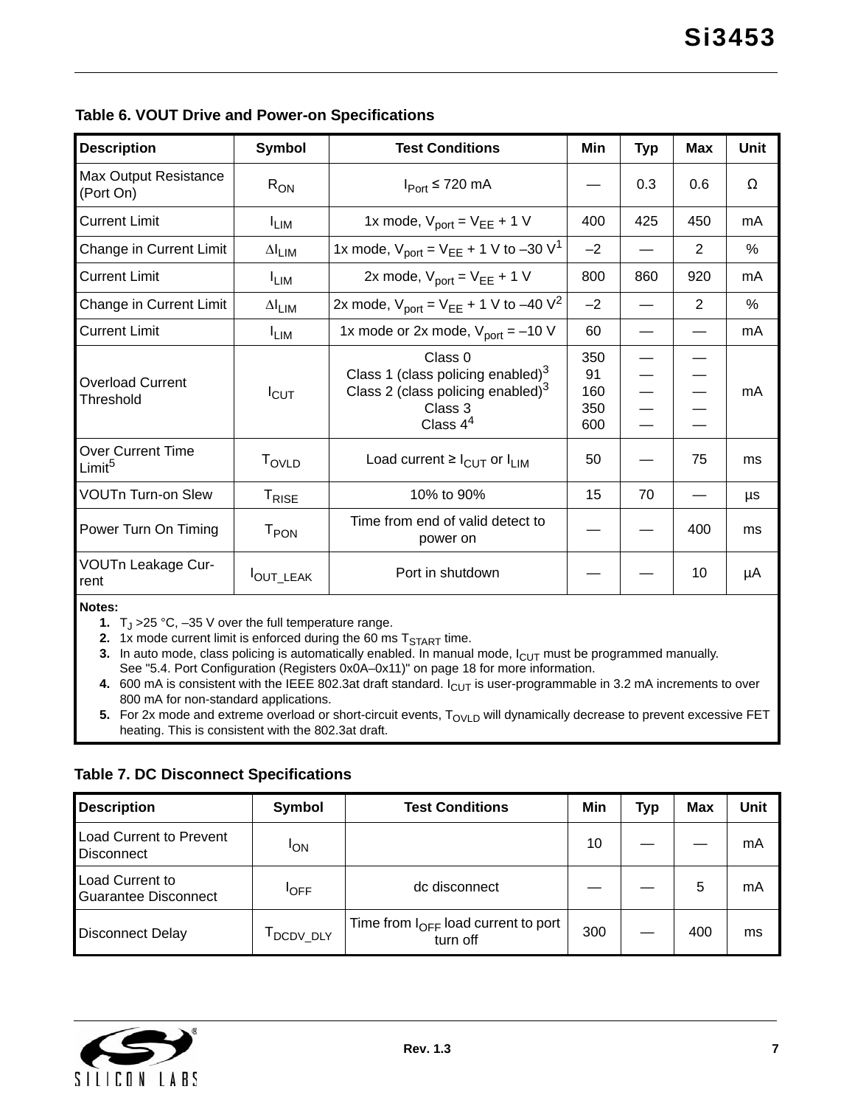| <b>Description</b>                        | Symbol                    | <b>Test Conditions</b>                                                                                                    | Min                            | <b>Typ</b> | <b>Max</b> | Unit          |
|-------------------------------------------|---------------------------|---------------------------------------------------------------------------------------------------------------------------|--------------------------------|------------|------------|---------------|
| <b>Max Output Resistance</b><br>(Port On) | $R_{ON}$                  | $I_{Port}$ ≤ 720 mA                                                                                                       |                                | 0.3        | 0.6        | Ω             |
| <b>Current Limit</b>                      | <sup>I</sup> LIM          | 1x mode, $V_{port} = V_{EE} + 1 V$                                                                                        | 400                            | 425        | 450        | mA            |
| Change in Current Limit                   | $\Delta I$ <sub>LIM</sub> | 1x mode, $V_{\text{port}} = V_{\text{EE}} + 1 \text{ V}$ to -30 V <sup>1</sup>                                            | $-2$                           |            | 2          | $\frac{0}{0}$ |
| <b>Current Limit</b>                      | <b>LIM</b>                | 2x mode, $V_{port} = V_{EE} + 1 V$                                                                                        | 800                            | 860        | 920        | mA            |
| Change in Current Limit                   | $\Delta I$ <sub>LIM</sub> | 2x mode, $V_{\text{port}} = V_{\text{EE}} + 1 \text{ V to } -40 \text{ V}^2$                                              | $-2$                           |            | 2          | $\frac{0}{0}$ |
| <b>Current Limit</b>                      | <sup>I</sup> LIM          | 1x mode or 2x mode, $V_{\text{port}} = -10 V$                                                                             | 60                             |            |            | mA            |
| <b>Overload Current</b><br>Threshold      | $I_{\text{CUT}}$          | Class 0<br>Class 1 (class policing enabled) $3$<br>Class 2 (class policing enabled) <sup>3</sup><br>Class 3<br>Class $44$ | 350<br>91<br>160<br>350<br>600 |            |            | mA            |
| Over Current Time<br>Limit <sup>5</sup>   | T <sub>OVLD</sub>         | Load current $\geq$ $I_{\text{CUT}}$ or $I_{\text{LIM}}$                                                                  | 50                             |            | 75         | ms            |
| <b>VOUTn Turn-on Slew</b>                 | T <sub>RISE</sub>         | 10% to 90%                                                                                                                | 15                             | 70         |            | μs            |
| Power Turn On Timing                      | T <sub>PON</sub>          | Time from end of valid detect to<br>power on                                                                              |                                |            | 400        | ms            |
| VOUTn Leakage Cur-<br>rent                | OUT_LEAK                  | Port in shutdown                                                                                                          |                                |            | 10         | μA            |

<span id="page-6-3"></span>**Notes:**

**1.**  $T_J > 25 \degree C$ , -35 V over the full temperature range.

<span id="page-6-4"></span>**2.** 1x mode current limit is enforced during the 60 ms  $T_{\text{START}}$  time.

<span id="page-6-2"></span>3. In auto mode, class policing is automatically enabled. In manual mode,  $I_{\text{CUT}}$  must be programmed manually. See ["5.4. Port Configuration \(Registers 0x0A–0x11\)" on page 18](#page-17-0) for more information.

<span id="page-6-1"></span>**4.** 600 mA is consistent with the IEEE 802.3at draft standard. I<sub>CUT</sub> is user-programmable in 3.2 mA increments to over 800 mA for non-standard applications.

<span id="page-6-0"></span>**5.** For 2x mode and extreme overload or short-circuit events, T<sub>OVLD</sub> will dynamically decrease to prevent excessive FET heating. This is consistent with the 802.3at draft.

| <b>Description</b>                                  | Symbol      | <b>Test Conditions</b>                                      | Min | Typ | <b>Max</b> | Unit |
|-----------------------------------------------------|-------------|-------------------------------------------------------------|-----|-----|------------|------|
| <b>Load Current to Prevent</b><br><b>Disconnect</b> | <b>I</b> ON |                                                             | 10  |     |            | mA   |
| Load Current to<br>Guarantee Disconnect             | <b>IOFF</b> | dc disconnect                                               |     |     | 5          | mA   |
| <b>Disconnect Delay</b>                             | DCDV_DLY    | Time from $I_{\text{OFF}}$ load current to port<br>turn off | 300 |     | 400        | ms   |

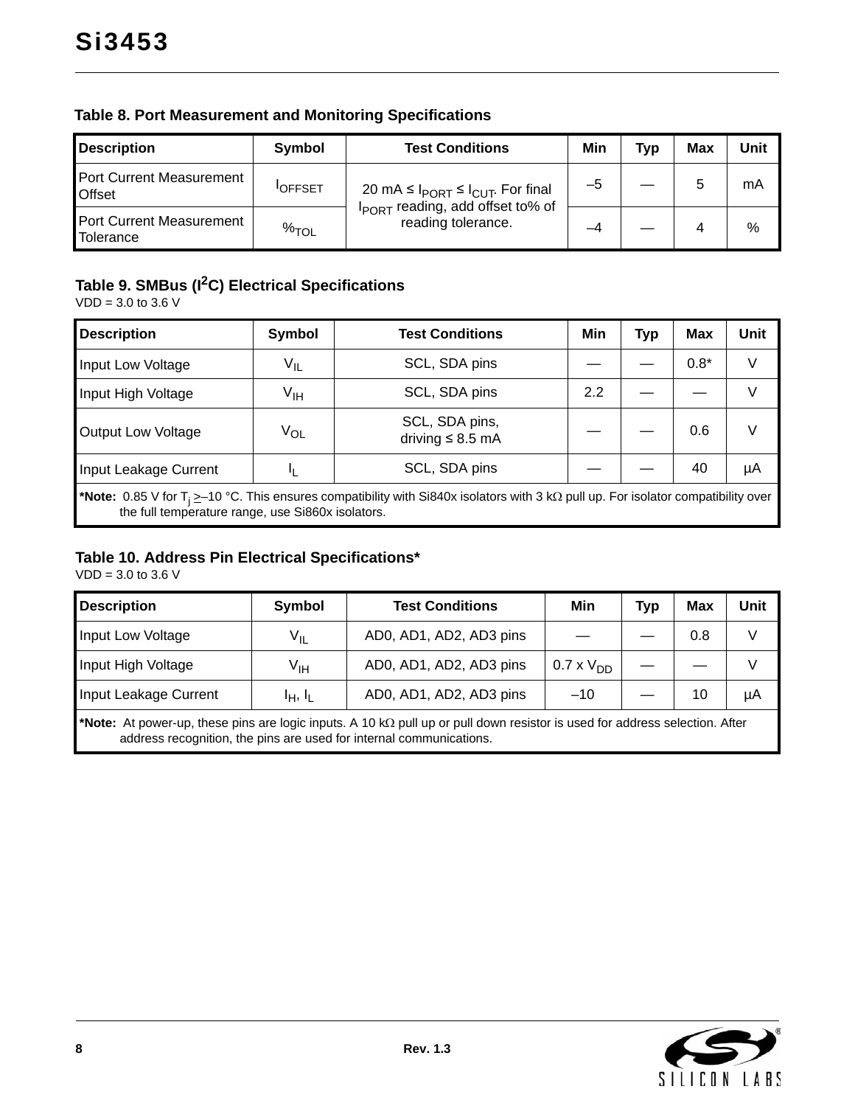| <b>Description</b>                                  | Symbol         | <b>Test Conditions</b>                                                                                           | Min | Tvo | Max | Unit |
|-----------------------------------------------------|----------------|------------------------------------------------------------------------------------------------------------------|-----|-----|-----|------|
| <b>Port Current Measurement</b><br><b>Offset</b>    | <b>IOFFSET</b> | 20 mA ≤ $I_{PORT}$ ≤ $I_{CUT}$ . For final<br>I <sub>PORT</sub> reading, add offset to% of<br>reading tolerance. | -5  |     |     | mA   |
| <b>Port Current Measurement</b><br><b>Tolerance</b> | $\%$ TOL       |                                                                                                                  |     |     |     | %    |

### **Table 8. Port Measurement and Monitoring Specifications**

### **Table 9. SMBus (I2C) Electrical Specifications**

VDD = 3.0 to 3.6 V

| <b>Description</b>                                                                                                                                                                                                      | <b>Symbol</b>   | <b>Test Conditions</b>                  | Min | <b>Typ</b> | <b>Max</b> | Unit |  |
|-------------------------------------------------------------------------------------------------------------------------------------------------------------------------------------------------------------------------|-----------------|-----------------------------------------|-----|------------|------------|------|--|
| Input Low Voltage                                                                                                                                                                                                       | $V_{IL}$        | SCL, SDA pins                           |     |            | $0.8*$     | V    |  |
| Input High Voltage                                                                                                                                                                                                      | V <sub>IH</sub> | SCL, SDA pins                           | 2.2 |            |            | V    |  |
| Output Low Voltage                                                                                                                                                                                                      | $V_{OL}$        | SCL, SDA pins,<br>driving $\leq 8.5$ mA |     |            | 0.6        | V    |  |
| Input Leakage Current                                                                                                                                                                                                   |                 | SCL, SDA pins                           |     |            | 40         | μA   |  |
| <b>*Note:</b> 0.85 V for T <sub>i</sub> $\geq$ -10 °C. This ensures compatibility with Si840x isolators with 3 k $\Omega$ pull up. For isolator compatibility over<br>the full temperature range, use Si860x isolators. |                 |                                         |     |            |            |      |  |

#### **Table 10. Address Pin Electrical Specifications\***

 $VDD = 3.0$  to 3.6 V

| <b>Description</b>    | Symbol          | <b>Test Conditions</b>                                                                                                                                                                             | Min              | <b>Typ</b> | Max | Unit |
|-----------------------|-----------------|----------------------------------------------------------------------------------------------------------------------------------------------------------------------------------------------------|------------------|------------|-----|------|
| Input Low Voltage     | V <sub>IL</sub> | AD0, AD1, AD2, AD3 pins                                                                                                                                                                            |                  |            | 0.8 | V    |
| Input High Voltage    | V <sub>IH</sub> | AD0, AD1, AD2, AD3 pins                                                                                                                                                                            | $0.7 \times VDD$ |            |     |      |
| Input Leakage Current | $I_H$ , $I_L$   | AD0, AD1, AD2, AD3 pins                                                                                                                                                                            | $-10$            |            | 10  | μA   |
|                       |                 | *Note: At power-up, these pins are logic inputs. A 10 kΩ pull up or pull down resistor is used for address selection. After<br>address recognition, the pins are used for internal communications. |                  |            |     |      |



 $\overline{\phantom{a}}$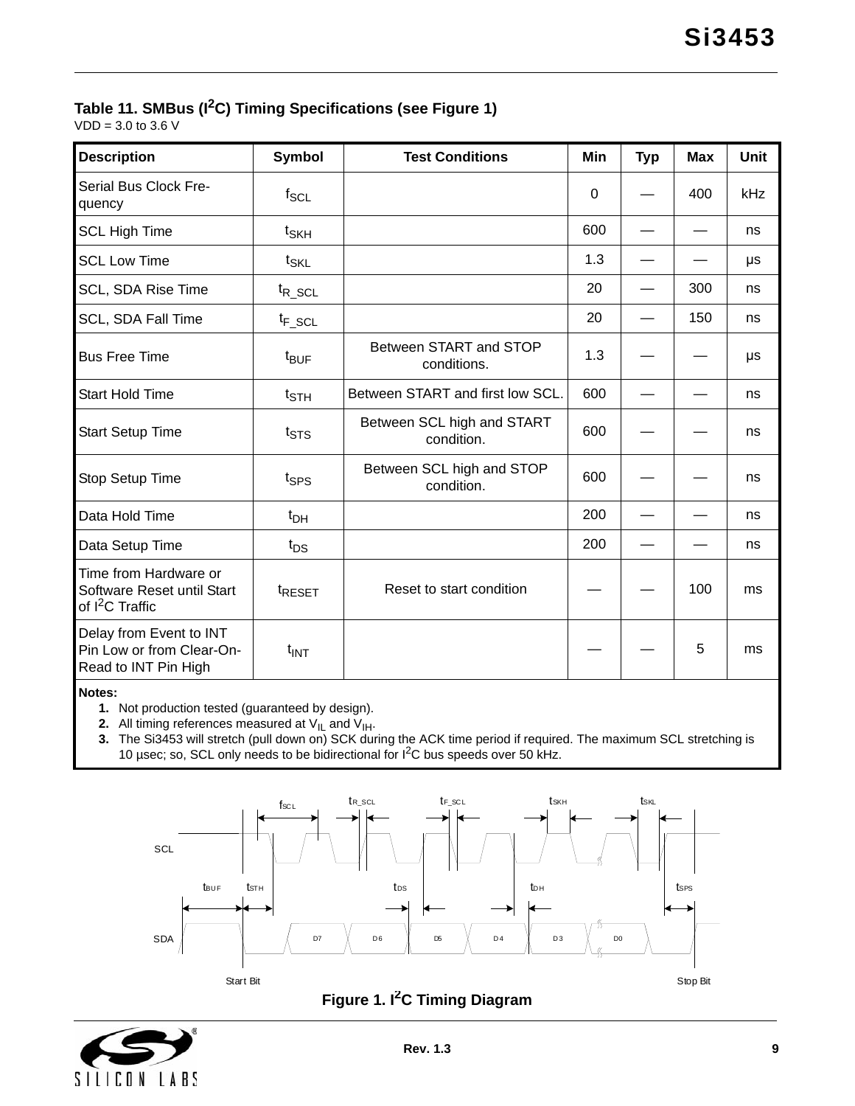# **Table 11. SMBus (I2C) Timing Specifications (see [Figure 1](#page-8-0))**

 $VDD = 3.0$  to 3.6 V

| <b>Description</b>                                                                 | <b>Symbol</b>              | <b>Test Conditions</b>                   | Min      | <b>Typ</b> | <b>Max</b> | <b>Unit</b> |
|------------------------------------------------------------------------------------|----------------------------|------------------------------------------|----------|------------|------------|-------------|
| Serial Bus Clock Fre-<br>quency                                                    | $f_{SCL}$                  |                                          | $\Omega$ |            | 400        | kHz         |
| <b>SCL High Time</b>                                                               | t <sub>SKH</sub>           |                                          | 600      |            |            | ns          |
| <b>SCL Low Time</b>                                                                | $t_{\text{SKL}}$           |                                          | 1.3      |            |            | μs          |
| SCL, SDA Rise Time                                                                 | $t_{R\_SCL}$               |                                          | 20       |            | 300        | ns          |
| SCL, SDA Fall Time                                                                 | $t_{F\_SCL}$               |                                          | 20       |            | 150        | ns          |
| <b>Bus Free Time</b>                                                               | t <sub>BUF</sub>           | Between START and STOP<br>conditions.    | 1.3      |            |            | μs          |
| <b>Start Hold Time</b>                                                             | $t_{\footnotesize\rm STH}$ | Between START and first low SCL.         | 600      |            |            | ns          |
| <b>Start Setup Time</b>                                                            | $t_{\text{STS}}$           | Between SCL high and START<br>condition. | 600      |            |            | ns          |
| Stop Setup Time                                                                    | t <sub>SPS</sub>           | Between SCL high and STOP<br>condition.  | 600      |            |            | ns          |
| Data Hold Time                                                                     | $t_{DH}$                   |                                          | 200      |            |            | ns          |
| Data Setup Time                                                                    | $t_{DS}$                   |                                          | 200      |            |            | ns          |
| Time from Hardware or<br>Software Reset until Start<br>of I <sup>2</sup> C Traffic | <sup>t</sup> RESET         | Reset to start condition                 |          |            | 100        | ms          |
| Delay from Event to INT<br>Pin Low or from Clear-On-<br>Read to INT Pin High       | $t_{INT}$                  |                                          |          |            | 5          | ms          |

**Notes:**

**1.** Not production tested (guaranteed by design).

**2.** All timing references measured at  $V_{IL}$  and  $V_{IH}$ .

**3.** The Si3453 will stretch (pull down on) SCK during the ACK time period if required. The maximum SCL stretching is 10 µsec; so, SCL only needs to be bidirectional for I<sup>2</sup>C bus speeds over 50 kHz.





<span id="page-8-0"></span>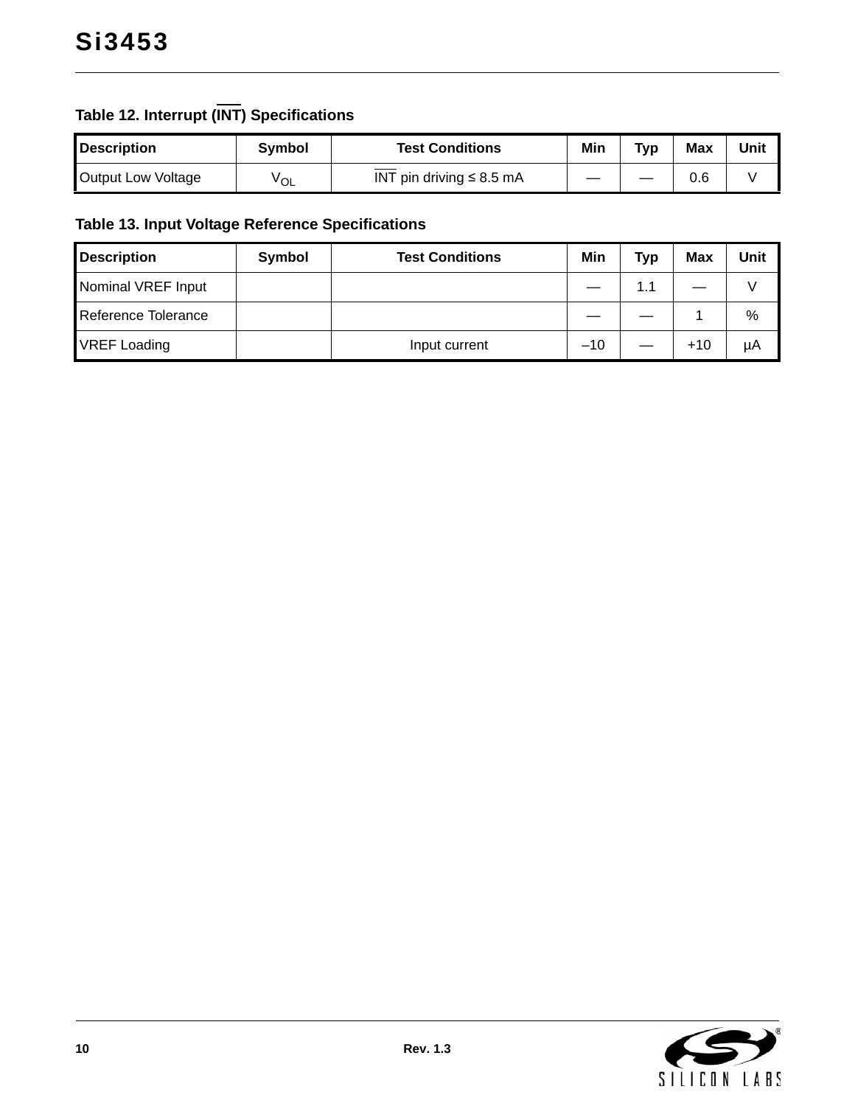# **Table 12. Interrupt (INT) Specifications**

| <b>Description</b> | Svmbol | <b>Test Conditions</b>        | Min | Typ | Max | Unit |
|--------------------|--------|-------------------------------|-----|-----|-----|------|
| Output Low Voltage | ⊻OL    | INT pin driving $\leq 8.5$ mA |     |     | 0.6 |      |

# **Table 13. Input Voltage Reference Specifications**

| <b>Description</b>  | Symbol | <b>Test Conditions</b> | Min   | <b>Typ</b> | <b>Max</b> | Unit |
|---------------------|--------|------------------------|-------|------------|------------|------|
| Nominal VREF Input  |        |                        |       | 1.1        |            |      |
| Reference Tolerance |        |                        |       |            |            | %    |
| <b>VREF Loading</b> |        | Input current          | $-10$ |            | $+10$      | μA   |

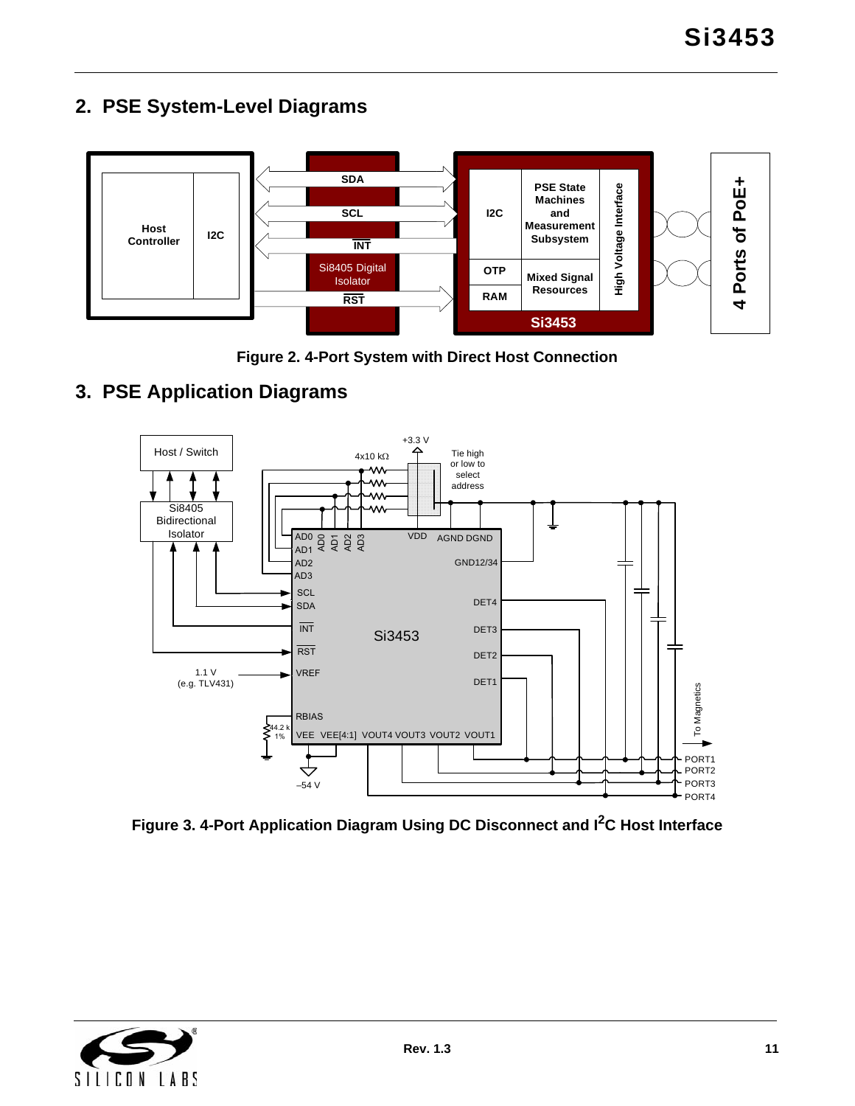<span id="page-10-0"></span>



**Figure 2. 4-Port System with Direct Host Connection**

# <span id="page-10-1"></span>**3. PSE Application Diagrams**



**Figure 3. 4-Port Application Diagram Using DC Disconnect and I2C Host Interface**

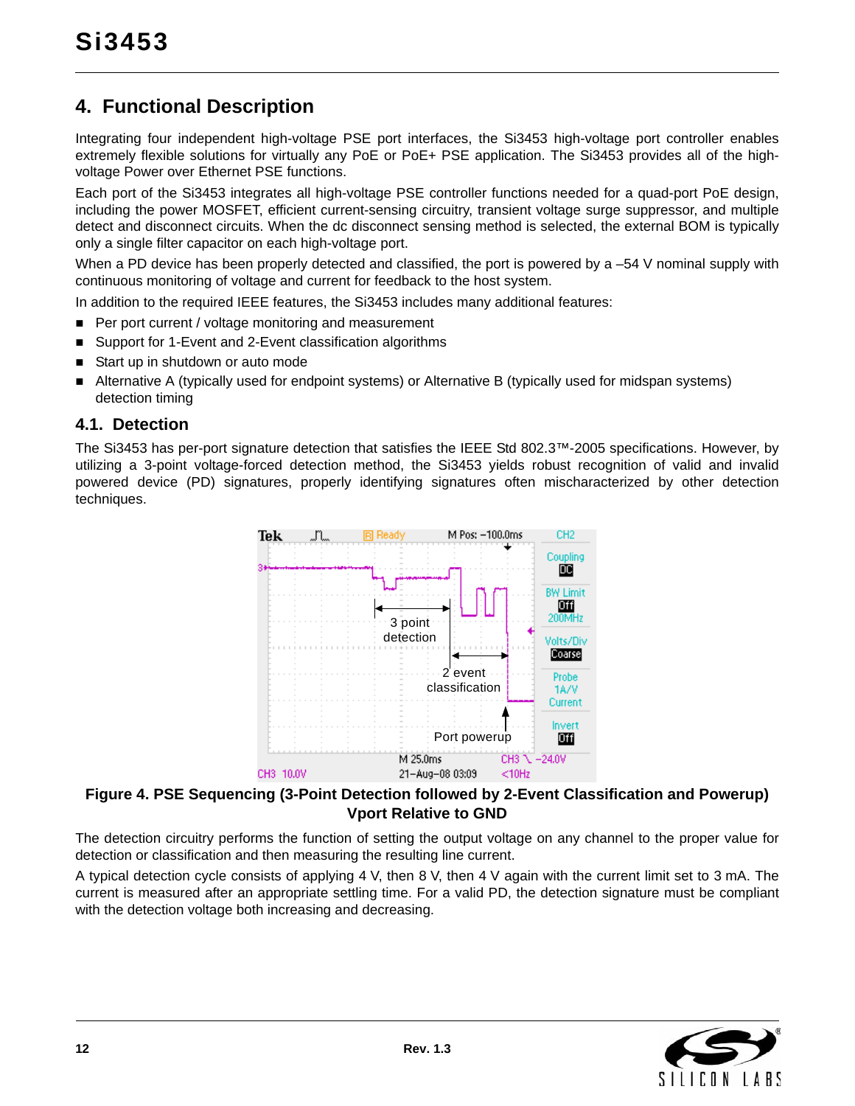# <span id="page-11-0"></span>**4. Functional Description**

Integrating four independent high-voltage PSE port interfaces, the Si3453 high-voltage port controller enables extremely flexible solutions for virtually any PoE or PoE+ PSE application. The Si3453 provides all of the highvoltage Power over Ethernet PSE functions.

Each port of the Si3453 integrates all high-voltage PSE controller functions needed for a quad-port PoE design, including the power MOSFET, efficient current-sensing circuitry, transient voltage surge suppressor, and multiple detect and disconnect circuits. When the dc disconnect sensing method is selected, the external BOM is typically only a single filter capacitor on each high-voltage port.

When a PD device has been properly detected and classified, the port is powered by a –54 V nominal supply with continuous monitoring of voltage and current for feedback to the host system.

In addition to the required IEEE features, the Si3453 includes many additional features:

- Per port current / voltage monitoring and measurement
- Support for 1-Event and 2-Event classification algorithms
- Start up in shutdown or auto mode
- Alternative A (typically used for endpoint systems) or Alternative B (typically used for midspan systems) detection timing

#### <span id="page-11-1"></span>**4.1. Detection**

The Si3453 has per-port signature detection that satisfies the IEEE Std 802.3™-2005 specifications. However, by utilizing a 3-point voltage-forced detection method, the Si3453 yields robust recognition of valid and invalid powered device (PD) signatures, properly identifying signatures often mischaracterized by other detection techniques.



#### **Figure 4. PSE Sequencing (3-Point Detection followed by 2-Event Classification and Powerup) Vport Relative to GND**

The detection circuitry performs the function of setting the output voltage on any channel to the proper value for detection or classification and then measuring the resulting line current.

A typical detection cycle consists of applying 4 V, then 8 V, then 4 V again with the current limit set to 3 mA. The current is measured after an appropriate settling time. For a valid PD, the detection signature must be compliant with the detection voltage both increasing and decreasing.

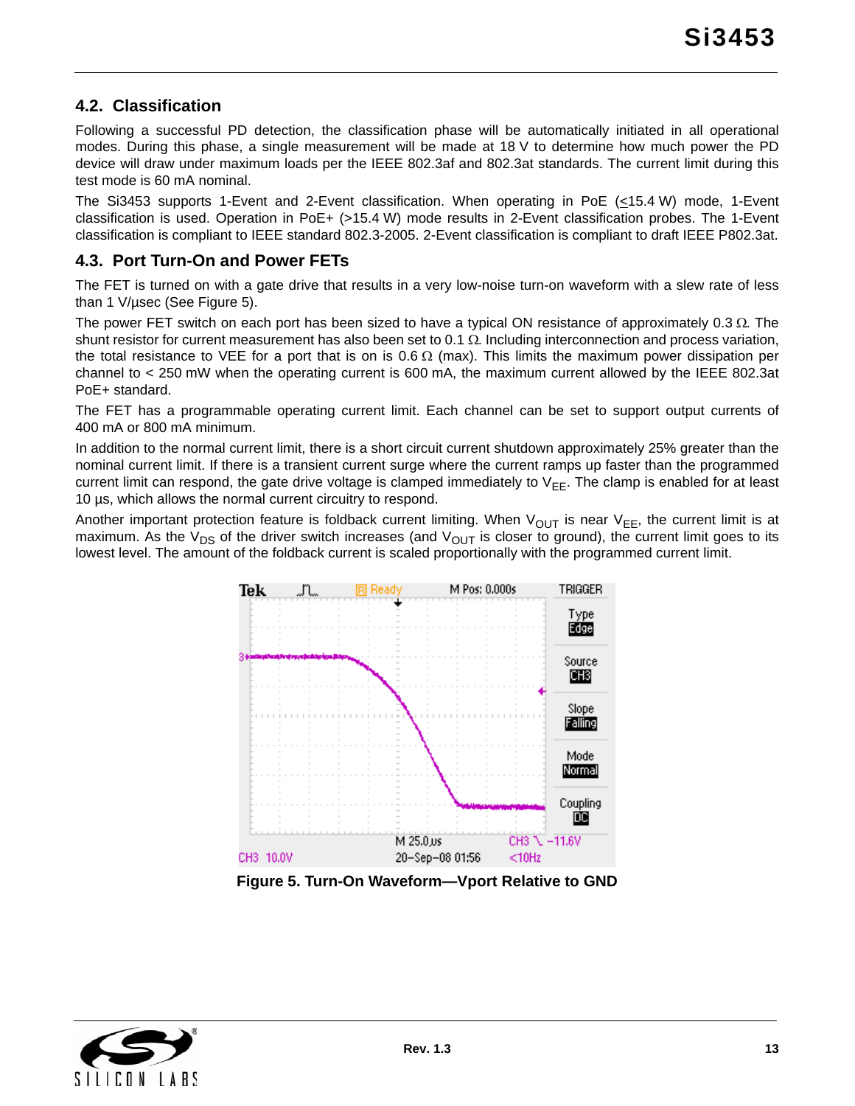### <span id="page-12-0"></span>**4.2. Classification**

Following a successful PD detection, the classification phase will be automatically initiated in all operational modes. During this phase, a single measurement will be made at 18 V to determine how much power the PD device will draw under maximum loads per the IEEE 802.3af and 802.3at standards. The current limit during this test mode is 60 mA nominal.

The Si3453 supports 1-Event and 2-Event classification. When operating in PoE (<15.4 W) mode, 1-Event classification is used. Operation in PoE+ (>15.4 W) mode results in 2-Event classification probes. The 1-Event classification is compliant to IEEE standard 802.3-2005. 2-Event classification is compliant to draft IEEE P802.3at.

### <span id="page-12-1"></span>**4.3. Port Turn-On and Power FETs**

The FET is turned on with a gate drive that results in a very low-noise turn-on waveform with a slew rate of less than 1 V/µsec (See [Figure 5\)](#page-12-2).

The power FET switch on each port has been sized to have a typical ON resistance of approximately  $0.3 \Omega$ . The shunt resistor for current measurement has also been set to 0.1  $\Omega$ . Including interconnection and process variation, the total resistance to VEE for a port that is on is 0.6  $\Omega$  (max). This limits the maximum power dissipation per channel to < 250 mW when the operating current is 600 mA, the maximum current allowed by the IEEE 802.3at PoE+ standard.

The FET has a programmable operating current limit. Each channel can be set to support output currents of 400 mA or 800 mA minimum.

In addition to the normal current limit, there is a short circuit current shutdown approximately 25% greater than the nominal current limit. If there is a transient current surge where the current ramps up faster than the programmed current limit can respond, the gate drive voltage is clamped immediately to  $V_{FF}$ . The clamp is enabled for at least 10 µs, which allows the normal current circuitry to respond.

Another important protection feature is foldback current limiting. When  $V_{OUT}$  is near  $V_{EE}$ , the current limit is at maximum. As the V<sub>DS</sub> of the driver switch increases (and V<sub>OUT</sub> is closer to ground), the current limit goes to its lowest level. The amount of the foldback current is scaled proportionally with the programmed current limit.



**Figure 5. Turn-On Waveform—Vport Relative to GND**

<span id="page-12-2"></span>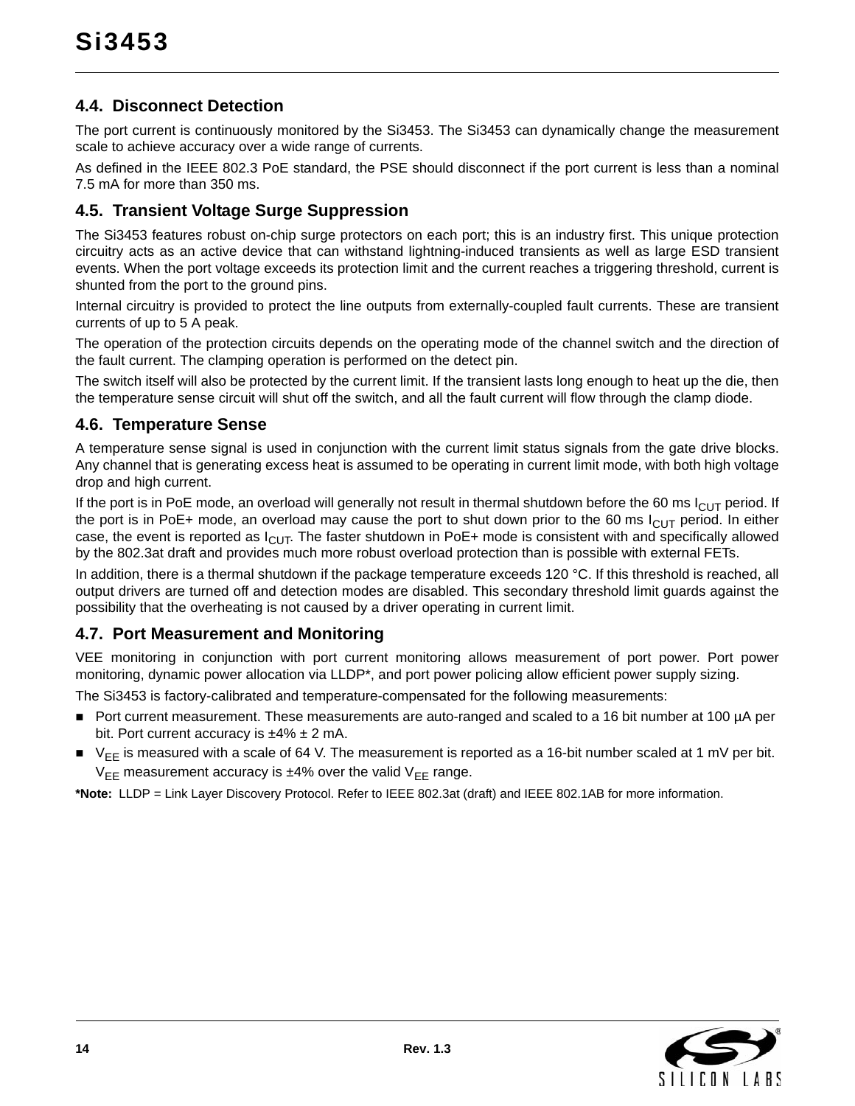### <span id="page-13-0"></span>**4.4. Disconnect Detection**

The port current is continuously monitored by the Si3453. The Si3453 can dynamically change the measurement scale to achieve accuracy over a wide range of currents.

As defined in the IEEE 802.3 PoE standard, the PSE should disconnect if the port current is less than a nominal 7.5 mA for more than 350 ms.

### <span id="page-13-1"></span>**4.5. Transient Voltage Surge Suppression**

The Si3453 features robust on-chip surge protectors on each port; this is an industry first. This unique protection circuitry acts as an active device that can withstand lightning-induced transients as well as large ESD transient events. When the port voltage exceeds its protection limit and the current reaches a triggering threshold, current is shunted from the port to the ground pins.

Internal circuitry is provided to protect the line outputs from externally-coupled fault currents. These are transient currents of up to 5 A peak.

The operation of the protection circuits depends on the operating mode of the channel switch and the direction of the fault current. The clamping operation is performed on the detect pin.

The switch itself will also be protected by the current limit. If the transient lasts long enough to heat up the die, then the temperature sense circuit will shut off the switch, and all the fault current will flow through the clamp diode.

### <span id="page-13-2"></span>**4.6. Temperature Sense**

A temperature sense signal is used in conjunction with the current limit status signals from the gate drive blocks. Any channel that is generating excess heat is assumed to be operating in current limit mode, with both high voltage drop and high current.

If the port is in PoE mode, an overload will generally not result in thermal shutdown before the 60 ms  $I_{ClJT}$  period. If the port is in PoE+ mode, an overload may cause the port to shut down prior to the 60 ms  $I_{\text{Cl}}$  period. In either case, the event is reported as  $I_{ClJT}$ . The faster shutdown in PoE+ mode is consistent with and specifically allowed by the 802.3at draft and provides much more robust overload protection than is possible with external FETs.

In addition, there is a thermal shutdown if the package temperature exceeds 120 °C. If this threshold is reached, all output drivers are turned off and detection modes are disabled. This secondary threshold limit guards against the possibility that the overheating is not caused by a driver operating in current limit.

### <span id="page-13-3"></span>**4.7. Port Measurement and Monitoring**

VEE monitoring in conjunction with port current monitoring allows measurement of port power. Port power monitoring, dynamic power allocation via LLDP\*, and port power policing allow efficient power supply sizing.

The Si3453 is factory-calibrated and temperature-compensated for the following measurements:

- Port current measurement. These measurements are auto-ranged and scaled to a 16 bit number at 100 µA per bit. Port current accuracy is  $\pm 4\% \pm 2$  mA.
- $\blacktriangleright$   $\blacktriangleright$   $\blacktriangleright$  is measured with a scale of 64 V. The measurement is reported as a 16-bit number scaled at 1 mV per bit.  $V_{EE}$  measurement accuracy is  $±4%$  over the valid  $V_{EF}$  range.

**\*Note:** LLDP = Link Layer Discovery Protocol. Refer to IEEE 802.3at (draft) and IEEE 802.1AB for more information.

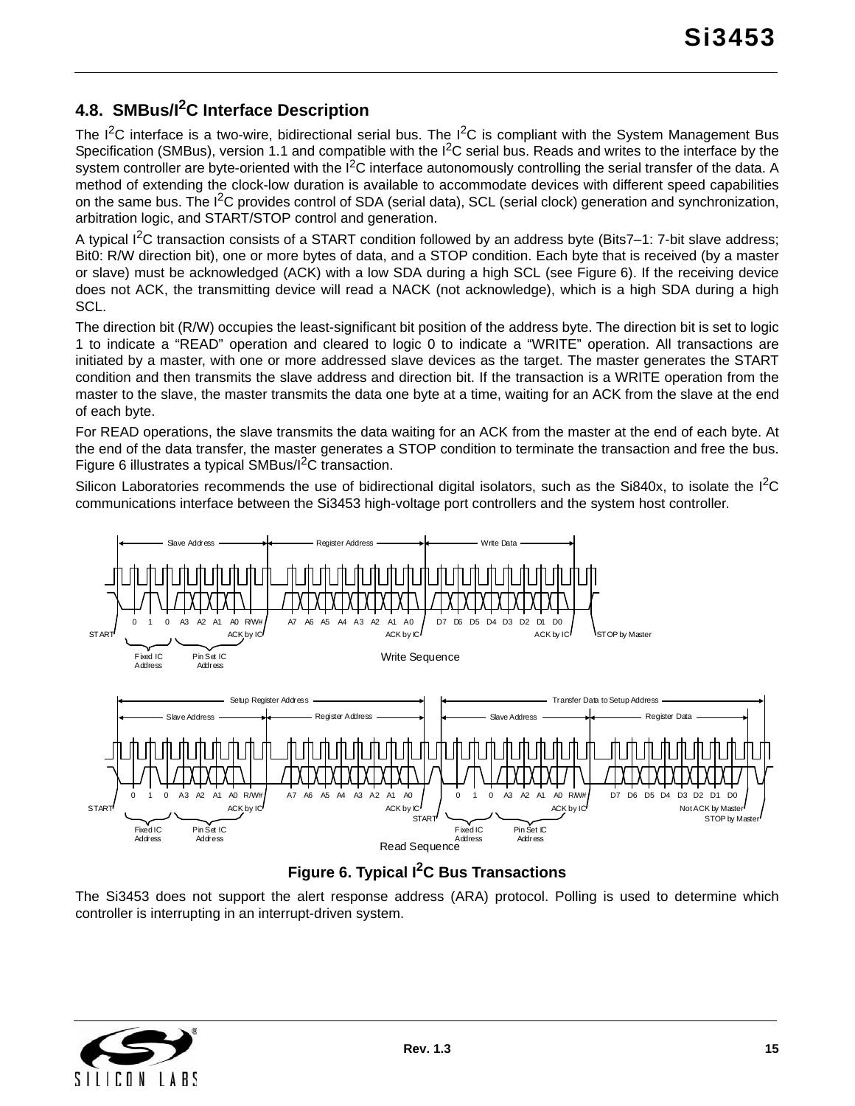# <span id="page-14-0"></span>**4.8. SMBus/I2C Interface Description**

The  $I^2C$  interface is a two-wire, bidirectional serial bus. The  $I^2C$  is compliant with the System Management Bus Specification (SMBus), version 1.1 and compatible with the  $I<sup>2</sup>C$  serial bus. Reads and writes to the interface by the system controller are byte-oriented with the  $I<sup>2</sup>C$  interface autonomously controlling the serial transfer of the data. A method of extending the clock-low duration is available to accommodate devices with different speed capabilities on the same bus. The  $I^2C$  provides control of SDA (serial data), SCL (serial clock) generation and synchronization, arbitration logic, and START/STOP control and generation.

A typical  $I^2C$  transaction consists of a START condition followed by an address byte (Bits7–1: 7-bit slave address; Bit0: R/W direction bit), one or more bytes of data, and a STOP condition. Each byte that is received (by a master or slave) must be acknowledged (ACK) with a low SDA during a high SCL (see [Figure 6](#page-14-1)). If the receiving device does not ACK, the transmitting device will read a NACK (not acknowledge), which is a high SDA during a high SCL.

The direction bit (R/W) occupies the least-significant bit position of the address byte. The direction bit is set to logic 1 to indicate a "READ" operation and cleared to logic 0 to indicate a "WRITE" operation. All transactions are initiated by a master, with one or more addressed slave devices as the target. The master generates the START condition and then transmits the slave address and direction bit. If the transaction is a WRITE operation from the master to the slave, the master transmits the data one byte at a time, waiting for an ACK from the slave at the end of each byte.

For READ operations, the slave transmits the data waiting for an ACK from the master at the end of each byte. At the end of the data transfer, the master generates a STOP condition to terminate the transaction and free the bus. [Figure 6](#page-14-1) illustrates a typical SMBus/I<sup>2</sup>C transaction.

Silicon Laboratories recommends the use of bidirectional digital isolators, such as the Si840x, to isolate the  ${}^{12}C$ communications interface between the Si3453 high-voltage port controllers and the system host controller.



### **Figure 6. Typical I2C Bus Transactions**

<span id="page-14-1"></span>The Si3453 does not support the alert response address (ARA) protocol. Polling is used to determine which controller is interrupting in an interrupt-driven system.

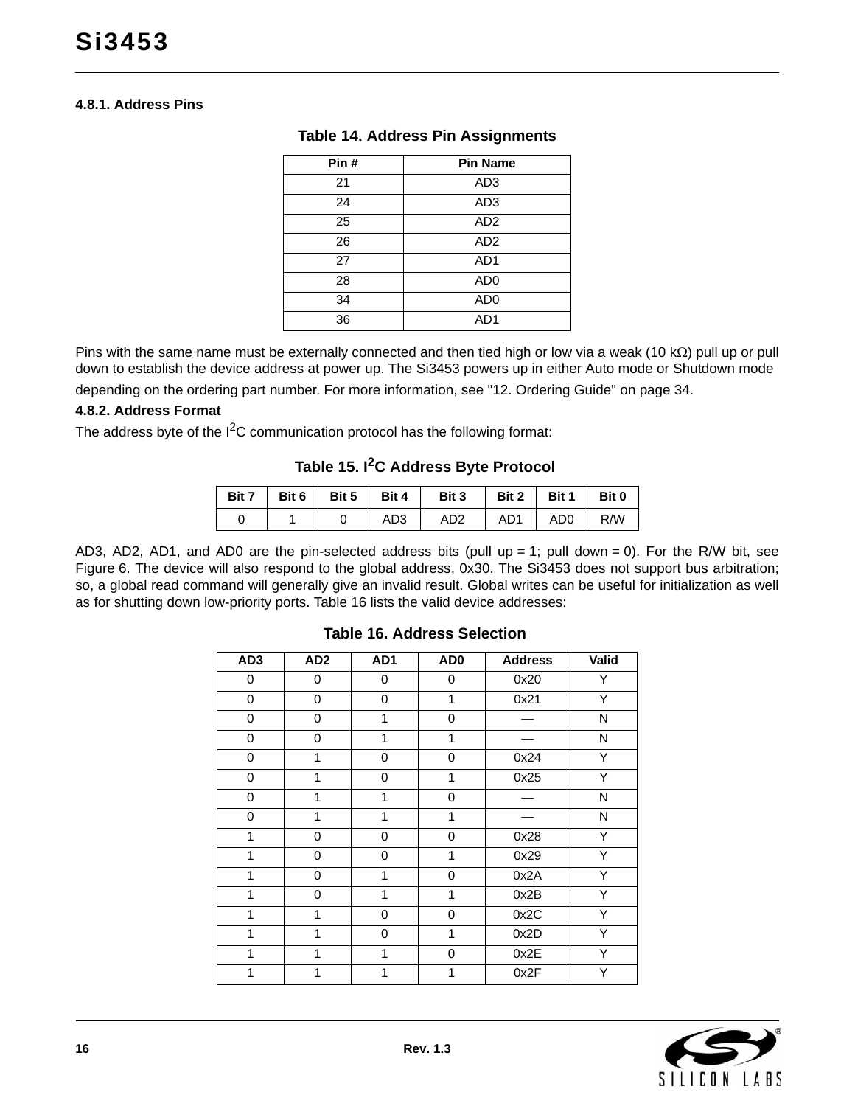#### **4.8.1. Address Pins**

| Pin# | <b>Pin Name</b> |
|------|-----------------|
| 21   | AD <sub>3</sub> |
| 24   | AD <sub>3</sub> |
| 25   | AD <sub>2</sub> |
| 26   | AD <sub>2</sub> |
| 27   | AD <sub>1</sub> |
| 28   | AD <sub>0</sub> |
| 34   | AD <sub>0</sub> |
| 36   | AD1             |

#### **Table 14. Address Pin Assignments**

Pins with the same name must be externally connected and then tied high or low via a weak (10 k $\Omega$ ) pull up or pull down to establish the device address at power up. The Si3453 powers up in either Auto mode or Shutdown mode depending on the ordering part number. For more information, see ["12. Ordering Guide" on page 34](#page-33-0).

#### **4.8.2. Address Format**

The address byte of the  $1<sup>2</sup>C$  communication protocol has the following format:

# **Table 15. I2C Address Byte Protocol**

|  |     | Bit 7   Bit 6   Bit 5   Bit 4   Bit 3   Bit 2   Bit 1   Bit 0 |                 |  |
|--|-----|---------------------------------------------------------------|-----------------|--|
|  | AD3 | AD <sub>2</sub>                                               | AD1   AD0   R/W |  |

<span id="page-15-0"></span>AD3, AD2, AD1, and AD0 are the pin-selected address bits (pull up = 1; pull down = 0). For the R/W bit, see [Figure 6.](#page-14-1) The device will also respond to the global address, 0x30. The Si3453 does not support bus arbitration; so, a global read command will generally give an invalid result. Global writes can be useful for initialization as well as for shutting down low-priority ports. [Table 16](#page-15-0) lists the valid device addresses:

| AD <sub>3</sub> | AD <sub>2</sub> | AD1 | AD <sub>0</sub> | <b>Address</b> | Valid |
|-----------------|-----------------|-----|-----------------|----------------|-------|
| 0               | 0               | 0   | 0               | 0x20           | Υ     |
| 0               | 0               | 0   | 1               | 0x21           | Υ     |
| 0               | 0               | 1   | 0               |                | N     |
| 0               | 0               | 1   | 1               |                | N     |
| 0               | 1               | 0   | 0               | 0x24           | Υ     |
| 0               | 1               | 0   | 1               | 0x25           | Y     |
| 0               | 1               | 1   | $\Omega$        |                | N     |
| 0               | 1               | 1   | 1               |                | N     |
| 1               | $\mathbf 0$     | 0   | 0               | 0x28           | Υ     |
| 1               | 0               | 0   | 1               | 0x29           | Υ     |
| 1               | 0               | 1   | 0               | 0x2A           | Υ     |
| 1               | $\mathbf 0$     | 1   | 1               | 0x2B           | Υ     |
| 1               | 1               | 0   | $\Omega$        | 0x2C           | Υ     |
| 1               | 1               | 0   | 1               | 0x2D           | Υ     |
| 1               | 1               | 1   | 0               | 0x2E           | Υ     |
| 1               | 1               |     | 1               | 0x2F           | Υ     |

#### **Table 16. Address Selection**

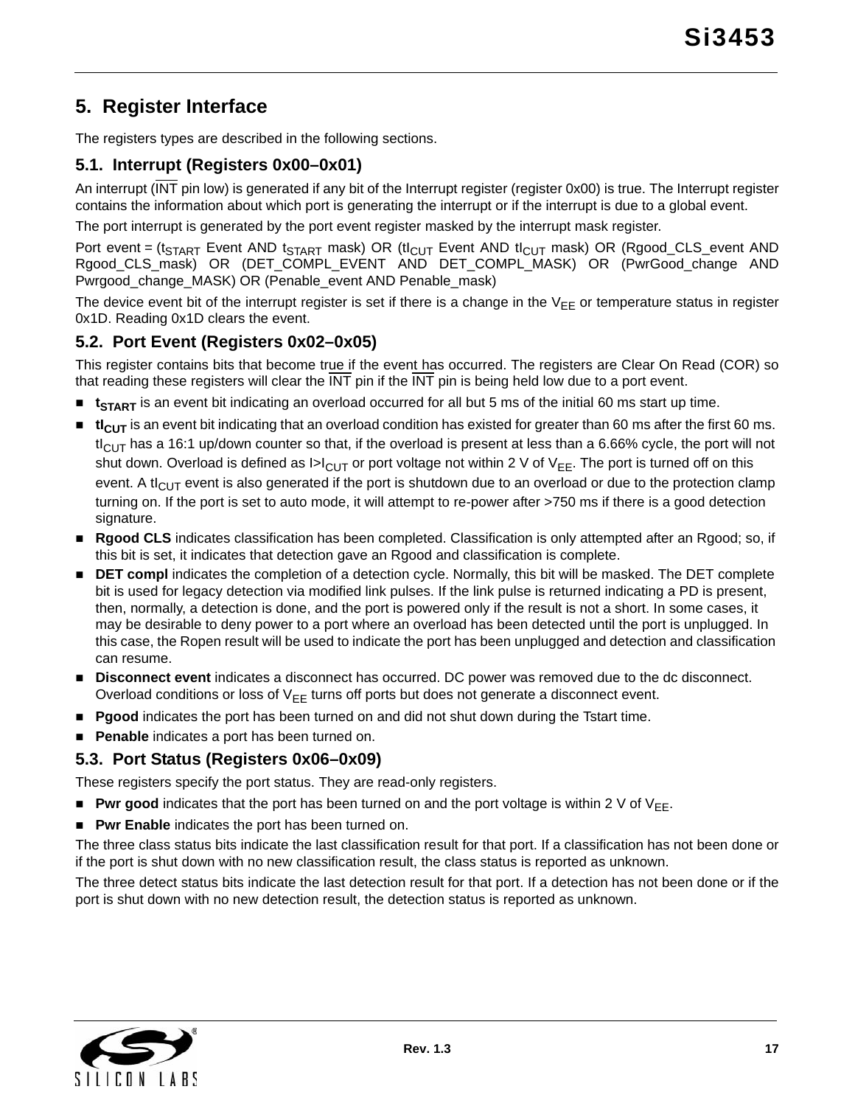# <span id="page-16-0"></span>**5. Register Interface**

The registers types are described in the following sections.

### <span id="page-16-1"></span>**5.1. Interrupt (Registers 0x00–0x01)**

An interrupt (INT pin low) is generated if any bit of the Interrupt register (register 0x00) is true. The Interrupt register contains the information about which port is generating the interrupt or if the interrupt is due to a global event.

The port interrupt is generated by the port event register masked by the interrupt mask register.

Port event = ( $t_{START}$  Event AND  $t_{START}$  mask) OR ( $t_{CUT}$  Event AND  $t_{CUT}$  mask) OR (Rgood\_CLS\_event AND Rgood\_CLS\_mask) OR (DET\_COMPL\_EVENT AND DET\_COMPL\_MASK) OR (PwrGood\_change AND Pwrgood\_change\_MASK) OR (Penable\_event AND Penable\_mask)

The device event bit of the interrupt register is set if there is a change in the  $V_{FF}$  or temperature status in register 0x1D. Reading 0x1D clears the event.

### <span id="page-16-2"></span>**5.2. Port Event (Registers 0x02–0x05)**

This register contains bits that become true if the event has occurred. The registers are Clear On Read (COR) so that reading these registers will clear the INT pin if the INT pin is being held low due to a port event.

- **t** t<sub>START</sub> is an event bit indicating an overload occurred for all but 5 ms of the initial 60 ms start up time.
- **ti<sub>CUT</sub>** is an event bit indicating that an overload condition has existed for greater than 60 ms after the first 60 ms.  $tl_{ClJT}$  has a 16:1 up/down counter so that, if the overload is present at less than a 6.66% cycle, the port will not shut down. Overload is defined as  $|>|_{C|I\overline{I}}$  or port voltage not within 2 V of V<sub>FF</sub>. The port is turned off on this event. A t $I_{\text{CUT}}$  event is also generated if the port is shutdown due to an overload or due to the protection clamp turning on. If the port is set to auto mode, it will attempt to re-power after >750 ms if there is a good detection signature.
- **Rgood CLS** indicates classification has been completed. Classification is only attempted after an Rgood; so, if this bit is set, it indicates that detection gave an Rgood and classification is complete.
- **DET compl** indicates the completion of a detection cycle. Normally, this bit will be masked. The DET complete bit is used for legacy detection via modified link pulses. If the link pulse is returned indicating a PD is present, then, normally, a detection is done, and the port is powered only if the result is not a short. In some cases, it may be desirable to deny power to a port where an overload has been detected until the port is unplugged. In this case, the Ropen result will be used to indicate the port has been unplugged and detection and classification can resume.
- **Disconnect event** indicates a disconnect has occurred. DC power was removed due to the dc disconnect. Overload conditions or loss of  $V_{FF}$  turns off ports but does not generate a disconnect event.
- **Pgood** indicates the port has been turned on and did not shut down during the Tstart time.
- **Penable** indicates a port has been turned on.

#### <span id="page-16-3"></span>**5.3. Port Status (Registers 0x06–0x09)**

These registers specify the port status. They are read-only registers.

- **Pwr good** indicates that the port has been turned on and the port voltage is within 2 V of  $V_{FF}$ .
- **Pwr Enable** indicates the port has been turned on.

The three class status bits indicate the last classification result for that port. If a classification has not been done or if the port is shut down with no new classification result, the class status is reported as unknown.

The three detect status bits indicate the last detection result for that port. If a detection has not been done or if the port is shut down with no new detection result, the detection status is reported as unknown.

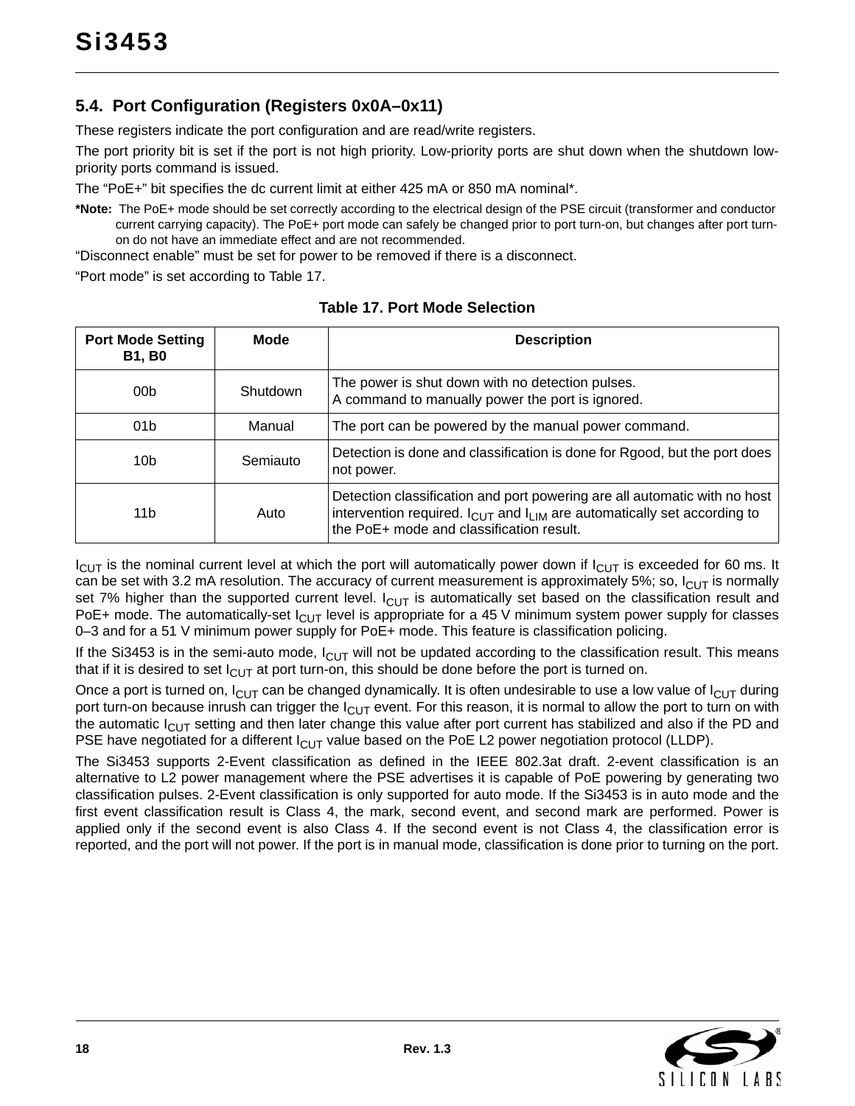# <span id="page-17-0"></span>**5.4. Port Configuration (Registers 0x0A–0x11)**

These registers indicate the port configuration and are read/write registers.

The port priority bit is set if the port is not high priority. Low-priority ports are shut down when the shutdown lowpriority ports command is issued.

The "PoE+" bit specifies the dc current limit at either 425 mA or 850 mA nominal\*.

**\*Note:** The PoE+ mode should be set correctly according to the electrical design of the PSE circuit (transformer and conductor current carrying capacity). The PoE+ port mode can safely be changed prior to port turn-on, but changes after port turnon do not have an immediate effect and are not recommended.

"Disconnect enable" must be set for power to be removed if there is a disconnect.

"Port mode" is set according to [Table 17.](#page-17-1)

<span id="page-17-1"></span>

| <b>Port Mode Setting</b><br><b>B1, B0</b> | <b>Mode</b> | <b>Description</b>                                                                                                                                                                                                       |
|-------------------------------------------|-------------|--------------------------------------------------------------------------------------------------------------------------------------------------------------------------------------------------------------------------|
| 00 <sub>b</sub>                           | Shutdown    | The power is shut down with no detection pulses.<br>A command to manually power the port is ignored.                                                                                                                     |
| 01 <sub>b</sub>                           | Manual      | The port can be powered by the manual power command.                                                                                                                                                                     |
| 10 <sub>b</sub>                           | Semiauto    | Detection is done and classification is done for Rgood, but the port does<br>not power.                                                                                                                                  |
| 11b                                       | Auto        | Detection classification and port powering are all automatic with no host<br>intervention required. I <sub>CUT</sub> and I <sub>LIM</sub> are automatically set according to<br>the PoE+ mode and classification result. |

**Table 17. Port Mode Selection**

 $I_{\text{CUT}}$  is the nominal current level at which the port will automatically power down if  $I_{\text{CUT}}$  is exceeded for 60 ms. It can be set with 3.2 mA resolution. The accuracy of current measurement is approximately 5%; so,  $I_{ClJT}$  is normally set 7% higher than the supported current level.  $I_{\text{CUT}}$  is automatically set based on the classification result and PoE+ mode. The automatically-set  $I_{ClJT}$  level is appropriate for a 45 V minimum system power supply for classes 0–3 and for a 51 V minimum power supply for PoE+ mode. This feature is classification policing.

If the Si3453 is in the semi-auto mode,  $I_{CUT}$  will not be updated according to the classification result. This means that if it is desired to set  $I_{\text{Cl}}$  at port turn-on, this should be done before the port is turned on.

Once a port is turned on,  $I_{\text{CUT}}$  can be changed dynamically. It is often undesirable to use a low value of  $I_{\text{CUT}}$  during port turn-on because inrush can trigger the  $I_{\text{ClT}}$  event. For this reason, it is normal to allow the port to turn on with the automatic  $I_{ClJT}$  setting and then later change this value after port current has stabilized and also if the PD and PSE have negotiated for a different  $I_{ClJT}$  value based on the PoE L2 power negotiation protocol (LLDP).

The Si3453 supports 2-Event classification as defined in the IEEE 802.3at draft. 2-event classification is an alternative to L2 power management where the PSE advertises it is capable of PoE powering by generating two classification pulses. 2-Event classification is only supported for auto mode. If the Si3453 is in auto mode and the first event classification result is Class 4, the mark, second event, and second mark are performed. Power is applied only if the second event is also Class 4. If the second event is not Class 4, the classification error is reported, and the port will not power. If the port is in manual mode, classification is done prior to turning on the port.

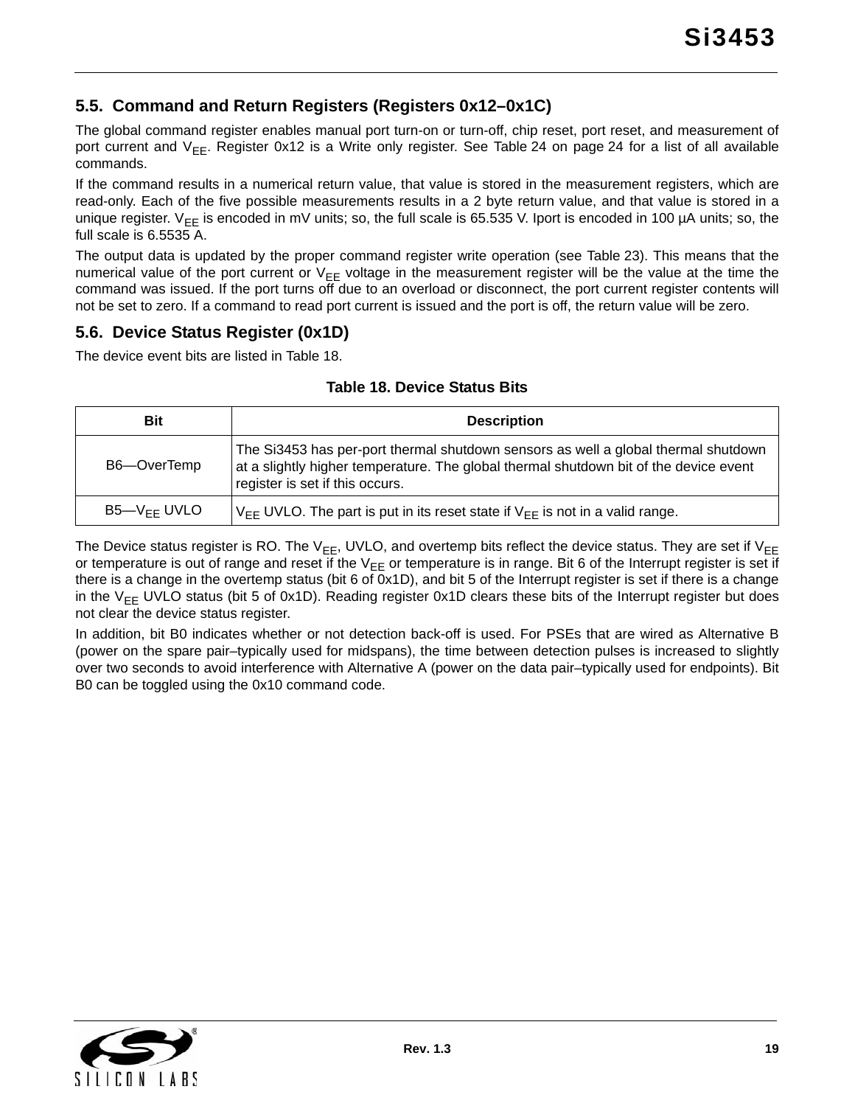### <span id="page-18-0"></span>**5.5. Command and Return Registers (Registers 0x12–0x1C)**

The global command register enables manual port turn-on or turn-off, chip reset, port reset, and measurement of port current and V<sub>EE</sub>. Register 0x12 is a Write only register. See [Table 24 on page 24](#page-23-0) for a list of all available commands.

If the command results in a numerical return value, that value is stored in the measurement registers, which are read-only. Each of the five possible measurements results in a 2 byte return value, and that value is stored in a unique register. V<sub>EE</sub> is encoded in mV units; so, the full scale is 65.535 V. Iport is encoded in 100 µA units; so, the full scale is 6.5535 A.

The output data is updated by the proper command register write operation (see [Table 23](#page-23-1)). This means that the numerical value of the port current or  $V_{EE}$  voltage in the measurement register will be the value at the time the command was issued. If the port turns off due to an overload or disconnect, the port current register contents will not be set to zero. If a command to read port current is issued and the port is off, the return value will be zero.

#### <span id="page-18-1"></span>**5.6. Device Status Register (0x1D)**

<span id="page-18-2"></span>The device event bits are listed in [Table 18.](#page-18-2)

|  | <b>Table 18. Device Status Bits</b> |  |  |
|--|-------------------------------------|--|--|
|--|-------------------------------------|--|--|

| Bit              | <b>Description</b>                                                                                                                                                                                             |
|------------------|----------------------------------------------------------------------------------------------------------------------------------------------------------------------------------------------------------------|
| B6-OverTemp      | The Si3453 has per-port thermal shutdown sensors as well a global thermal shutdown<br>at a slightly higher temperature. The global thermal shutdown bit of the device event<br>register is set if this occurs. |
| $B5-V_{FF}$ UVLO | $V_{FF}$ UVLO. The part is put in its reset state if $V_{FF}$ is not in a valid range.                                                                                                                         |

The Device status register is RO. The  $V_{EE}$ , UVLO, and overtemp bits reflect the device status. They are set if  $V_{EE}$ or temperature is out of range and reset if the  $V_{EE}$  or temperature is in range. Bit 6 of the Interrupt register is set if there is a change in the overtemp status (bit 6 of 0x1D), and bit 5 of the Interrupt register is set if there is a change in the  $V_{EE}$  UVLO status (bit 5 of 0x1D). Reading register 0x1D clears these bits of the Interrupt register but does not clear the device status register.

In addition, bit B0 indicates whether or not detection back-off is used. For PSEs that are wired as Alternative B (power on the spare pair–typically used for midspans), the time between detection pulses is increased to slightly over two seconds to avoid interference with Alternative A (power on the data pair–typically used for endpoints). Bit B0 can be toggled using the 0x10 command code.

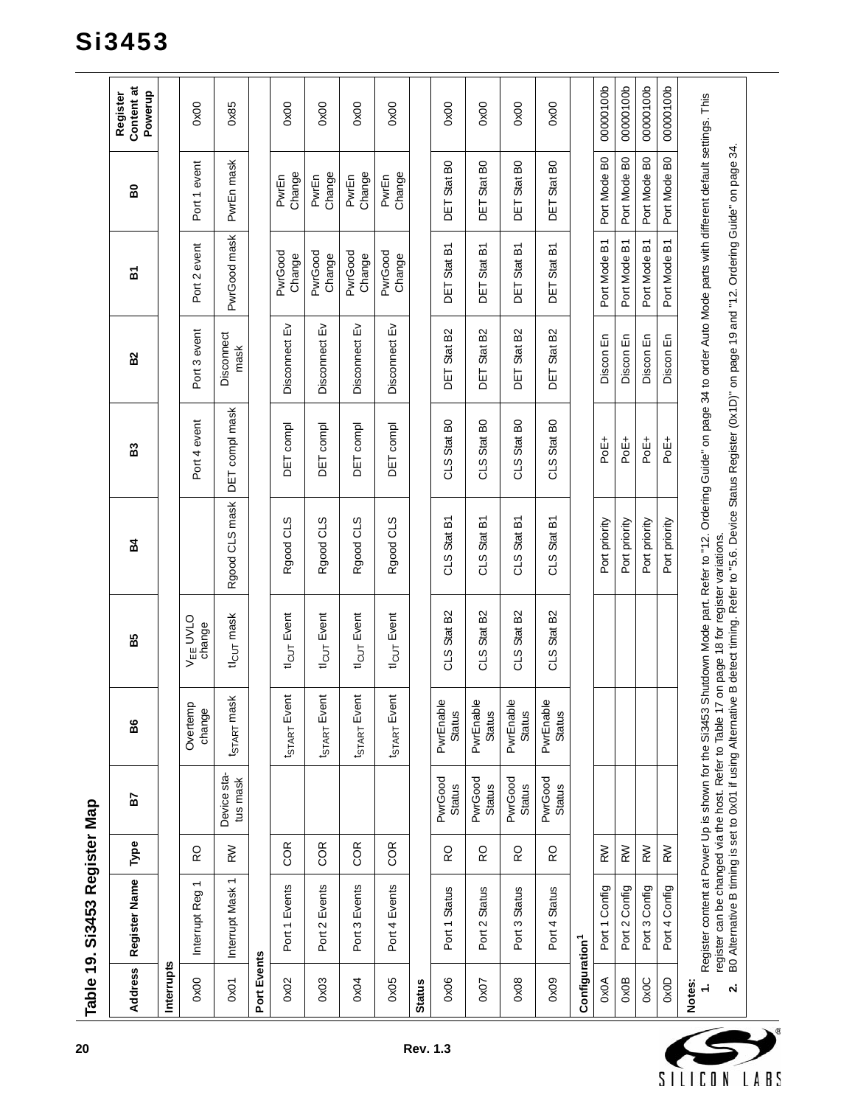<span id="page-19-2"></span><span id="page-19-1"></span><span id="page-19-0"></span>

|                                             | Register Name<br><b>Address</b>                                                                                        | Туре | 57                       | 86                         | B5                                           | 54                                                                                                                                                                                                                                                                                                 | B3                                      | B <sub>2</sub>             | ř                 | 60                         | Content at<br>Powerup<br>Register |
|---------------------------------------------|------------------------------------------------------------------------------------------------------------------------|------|--------------------------|----------------------------|----------------------------------------------|----------------------------------------------------------------------------------------------------------------------------------------------------------------------------------------------------------------------------------------------------------------------------------------------------|-----------------------------------------|----------------------------|-------------------|----------------------------|-----------------------------------|
| Interrupts                                  |                                                                                                                        |      |                          |                            |                                              |                                                                                                                                                                                                                                                                                                    |                                         |                            |                   |                            |                                   |
| 0x00                                        | $\overline{\phantom{0}}$<br>Interrupt Reg                                                                              | RO   |                          | Overtemp<br>change         | V <sub>EE</sub> UVLO<br>change               |                                                                                                                                                                                                                                                                                                    | Port 4 event                            | Port 3 event               | Port 2 event      | Port 1 event               | 0x00                              |
| 0x01                                        | Interrupt Mask 1                                                                                                       | RW   | Device sta-<br>tus mask  | t <sub>START</sub> mask    | tl <sub>CUT</sub> mask                       | Rgood CLS mask                                                                                                                                                                                                                                                                                     | DET compl mask                          | Disconnect<br>mask         | PwrGood mask      | PwrEn mask                 | 0x85                              |
| Port Events                                 |                                                                                                                        |      |                          |                            |                                              |                                                                                                                                                                                                                                                                                                    |                                         |                            |                   |                            |                                   |
| 0x02                                        | Port 1 Events                                                                                                          | COR  |                          | <b>t</b> start Event       | tl <sub>CUT</sub> Event                      | Rgood CLS                                                                                                                                                                                                                                                                                          | DET compl                               | 띳<br>Disconnect            | PwrGood<br>Change | Change<br>PwrEn            | 0x00                              |
| 0x03                                        | Port 2 Events                                                                                                          | COR  |                          | <b>t</b> start Event       | tl <sub>CUT</sub> Event                      | Rgood CLS                                                                                                                                                                                                                                                                                          | DET compl                               | 띳<br>Disconnect            | PwrGood<br>Change | Change<br>PwrEn            | 0x00                              |
| 0x04                                        | Port 3 Events                                                                                                          | COR  |                          | t <sub>START</sub> Event   | tl <sub>CUT</sub> Event                      | Rgood CLS                                                                                                                                                                                                                                                                                          | <b>DET</b> compl                        | Disconnect Ev              | PwrGood<br>Change | Change<br>PwrEn            | 0x00                              |
| 0x05                                        | Port 4 Events                                                                                                          | COR  |                          | t <sub>START</sub> Event   | tl <sub>CUT</sub> Event                      | Rgood CLS                                                                                                                                                                                                                                                                                          | DET compl                               | 띳<br>Disconnect            | PwrGood<br>Change | Change<br>PwrEn            | 0x00                              |
| <b>Status</b>                               |                                                                                                                        |      |                          |                            |                                              |                                                                                                                                                                                                                                                                                                    |                                         |                            |                   |                            |                                   |
| 0x06                                        | Port 1 Status                                                                                                          | 6    | PwrGood<br><b>Status</b> | PwrEnable<br>Status        | CLS Stat B2                                  | CLS Stat B1                                                                                                                                                                                                                                                                                        | CLS Stat BO                             | DET Stat B2                | DET Stat B1       | DET Stat BO                | 0x00                              |
| 0x07                                        | Port 2 Status                                                                                                          | 6    | PwrGood<br><b>Status</b> | PwrEnable<br><b>Status</b> | CLS Stat B2                                  | CLS Stat B1                                                                                                                                                                                                                                                                                        | CLS Stat BO                             | DET Stat B2                | DET Stat B1       | DET Stat BO                | 0x00                              |
| 0x08                                        | Port 3 Status                                                                                                          | 6    | PwrGood<br><b>Status</b> | PwrEnable<br><b>Status</b> | B <sub>2</sub><br>Stat  <br>C <sub>1</sub> S | 짇<br>CLS Stat                                                                                                                                                                                                                                                                                      | Stat B <sub>0</sub><br>STO              | Stat B <sub>2</sub><br>DET | Stat B1<br>DET    | Stat B <sub>0</sub><br>Ξq  | 0x00                              |
| 0x09                                        | Port 4 Status                                                                                                          | 6    | PwrGood<br><b>Status</b> | PwrEnable<br><b>Status</b> | Stat B <sub>2</sub><br>CLS                   | Stat B1<br>CLS                                                                                                                                                                                                                                                                                     | Stat B <sub>0</sub><br>C <sub>1</sub> S | Stat B <sub>2</sub><br>DET | Stat B1<br>DET    | Stat B <sub>0</sub><br>DET | 0x00                              |
| Configuration <sup>1</sup>                  |                                                                                                                        |      |                          |                            |                                              |                                                                                                                                                                                                                                                                                                    |                                         |                            |                   |                            |                                   |
| 0x0A                                        | Port 1 Config                                                                                                          | RW   |                          |                            |                                              | Port priority                                                                                                                                                                                                                                                                                      | PoE <sub>+</sub>                        | Discon En                  | Port Mode B1      | Port Mode B0               | 00000100b                         |
| 0x0B                                        | Port 2 Config                                                                                                          | RW   |                          |                            |                                              | Port priority                                                                                                                                                                                                                                                                                      | PoE <sup>+</sup>                        | Discon En                  | Port Mode B1      | Port Mode B0               | 00000100b                         |
| OxOC                                        | Port 3 Config                                                                                                          | RW   |                          |                            |                                              | Port priority                                                                                                                                                                                                                                                                                      | PoE+                                    | Discon En                  | Port Mode B1      | Port Mode B0               | 00000100b                         |
| 0x0D                                        | Port 4 Config                                                                                                          | RW   |                          |                            |                                              | Port priority                                                                                                                                                                                                                                                                                      | PoE+                                    | Discon En                  | Port Mode B1      | Port Mode B0               | 00000100b                         |
| Notes:<br>$\div$<br>$\overline{\mathbf{N}}$ | B0 Alternative B timing is set to 0x01 if using Alternative<br>register can be changed via the host. Refer to Table 17 |      |                          |                            | on page 18 for register variations.          | Register content at Power Up is shown for the Si3453 Shutdown Mode part. Refer to "12. Ordering Guide" on page 34 to order Auto Mode parts with different default settings. This<br>B detect timing. Refer to "5.6. Device Status Register (0x1D)" on page 19 and "12. Ordering Guide" on page 34. |                                         |                            |                   |                            |                                   |

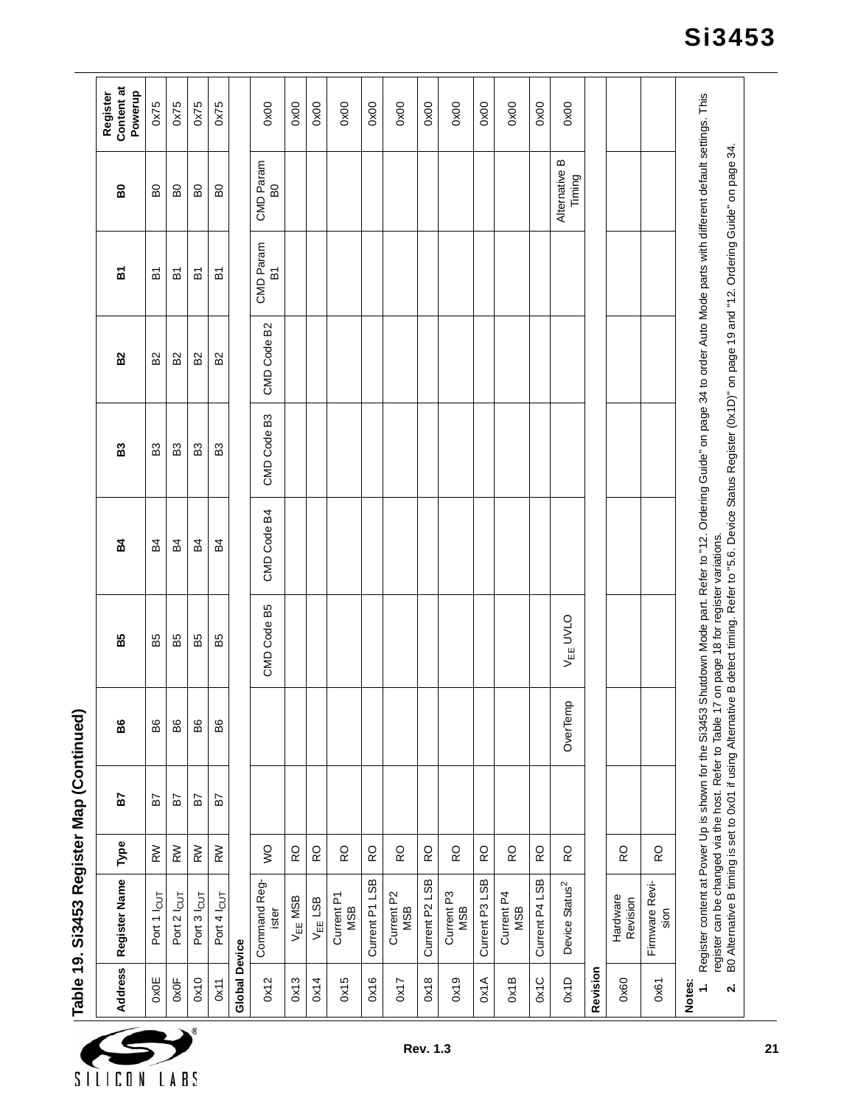|                       | Table 19. Si3453 Register Map (Continued) |      |    |          |                      |                                                                                                                                                                                                                                                                                                                                                                                                                       |             |                |                             |                             |                                   |
|-----------------------|-------------------------------------------|------|----|----------|----------------------|-----------------------------------------------------------------------------------------------------------------------------------------------------------------------------------------------------------------------------------------------------------------------------------------------------------------------------------------------------------------------------------------------------------------------|-------------|----------------|-----------------------------|-----------------------------|-----------------------------------|
| <b>Address</b>        | Register Name                             | Type | 57 | 86       | B5                   | 54                                                                                                                                                                                                                                                                                                                                                                                                                    | S3          | B <sub>2</sub> | ă                           | 60                          | Content at<br>Powerup<br>Register |
| <b>OXOE</b>           | Port 1 lcut                               | RW   | 57 | BG       | B5                   | 54                                                                                                                                                                                                                                                                                                                                                                                                                    | £3          | B <sub>2</sub> | 짇                           | 60                          | 0x75                              |
| 0x0F                  | Port 2 lcut                               | RW   | 57 | 86       | 55                   | 54                                                                                                                                                                                                                                                                                                                                                                                                                    | 63          | 52             | 짇                           | 8                           | 0x75                              |
| 0x10                  | Port 3 lcut                               | RW   | 57 | B6       | B5                   | 54                                                                                                                                                                                                                                                                                                                                                                                                                    | B3          | 52             | 인                           | 6G                          | 0x75                              |
| 0x11                  | Port 4 lcut                               | RW   | 57 | B6       | B5                   | 54                                                                                                                                                                                                                                                                                                                                                                                                                    | B3          | B2             | 인                           | <b>BO</b>                   | 0x75                              |
| <b>Global Device</b>  |                                           |      |    |          |                      |                                                                                                                                                                                                                                                                                                                                                                                                                       |             |                |                             |                             |                                   |
| 0x12                  | Command Reg-<br>ister                     | S    |    |          | CMD Code B5          | CMD Code B4                                                                                                                                                                                                                                                                                                                                                                                                           | CMD Code B3 | CMD Code B2    | CMD Param<br>$\overline{B}$ | CMD Param<br>B <sub>0</sub> | 0x00                              |
| 0x13                  | $V_{EE}$ MSB                              | 6    |    |          |                      |                                                                                                                                                                                                                                                                                                                                                                                                                       |             |                |                             |                             | 0x00                              |
| 0x14                  | $V_{EE}$ LSB                              | RO   |    |          |                      |                                                                                                                                                                                                                                                                                                                                                                                                                       |             |                |                             |                             | 0x00                              |
| 0x15                  | Current P1<br><b>MSB</b>                  | RO   |    |          |                      |                                                                                                                                                                                                                                                                                                                                                                                                                       |             |                |                             |                             | 0x00                              |
| 0x16                  | Current P1 LSB                            | RO   |    |          |                      |                                                                                                                                                                                                                                                                                                                                                                                                                       |             |                |                             |                             | 0x00                              |
| 0x17                  | Current P2<br><b>MSB</b>                  | RO   |    |          |                      |                                                                                                                                                                                                                                                                                                                                                                                                                       |             |                |                             |                             | 0x00                              |
| 0x18                  | Current P2 LSB                            | RO   |    |          |                      |                                                                                                                                                                                                                                                                                                                                                                                                                       |             |                |                             |                             | 0x00                              |
| 0x19                  | Current P <sub>3</sub><br><b>MSB</b>      | RO   |    |          |                      |                                                                                                                                                                                                                                                                                                                                                                                                                       |             |                |                             |                             | 0x00                              |
| 0x1A                  | Current P3 LSB                            | RO   |    |          |                      |                                                                                                                                                                                                                                                                                                                                                                                                                       |             |                |                             |                             | 0x00                              |
| 0x1B                  | Current P4<br>MSB                         | RO   |    |          |                      |                                                                                                                                                                                                                                                                                                                                                                                                                       |             |                |                             |                             | 0x00                              |
| Ox1C                  | Current P4 LSB                            | Q    |    |          |                      |                                                                                                                                                                                                                                                                                                                                                                                                                       |             |                |                             |                             | 0x00                              |
| 0x1D                  | Device Status <sup>2</sup>                | RO   |    | OverTemp | V <sub>EE</sub> UVLO |                                                                                                                                                                                                                                                                                                                                                                                                                       |             |                |                             | Alternative B<br>Timing     | 0x00                              |
| Revision              |                                           |      |    |          |                      |                                                                                                                                                                                                                                                                                                                                                                                                                       |             |                |                             |                             |                                   |
| 0x60                  | Hardware<br>Revision                      | RO   |    |          |                      |                                                                                                                                                                                                                                                                                                                                                                                                                       |             |                |                             |                             |                                   |
| 0x61                  | Firmware Revi-<br>sion                    | RO   |    |          |                      |                                                                                                                                                                                                                                                                                                                                                                                                                       |             |                |                             |                             |                                   |
| Notes:<br>$\div$<br>Ń |                                           |      |    |          |                      | Register content at Power Up is shown for the Si3453 Shutdown Mode part. Refer to "12. Ordering Guide" on page 34 to order Auto Mode parts with different default settings. This<br>register can be changed via the host. Refer to Table 17 on page 18 for register variations.<br>B0 Alternative B timing is set to 0x01 if using Alternative B detect timing. Refer to "5.6. Device Status Register (0x1D)" on page |             |                |                             |                             |                                   |



**Si3453**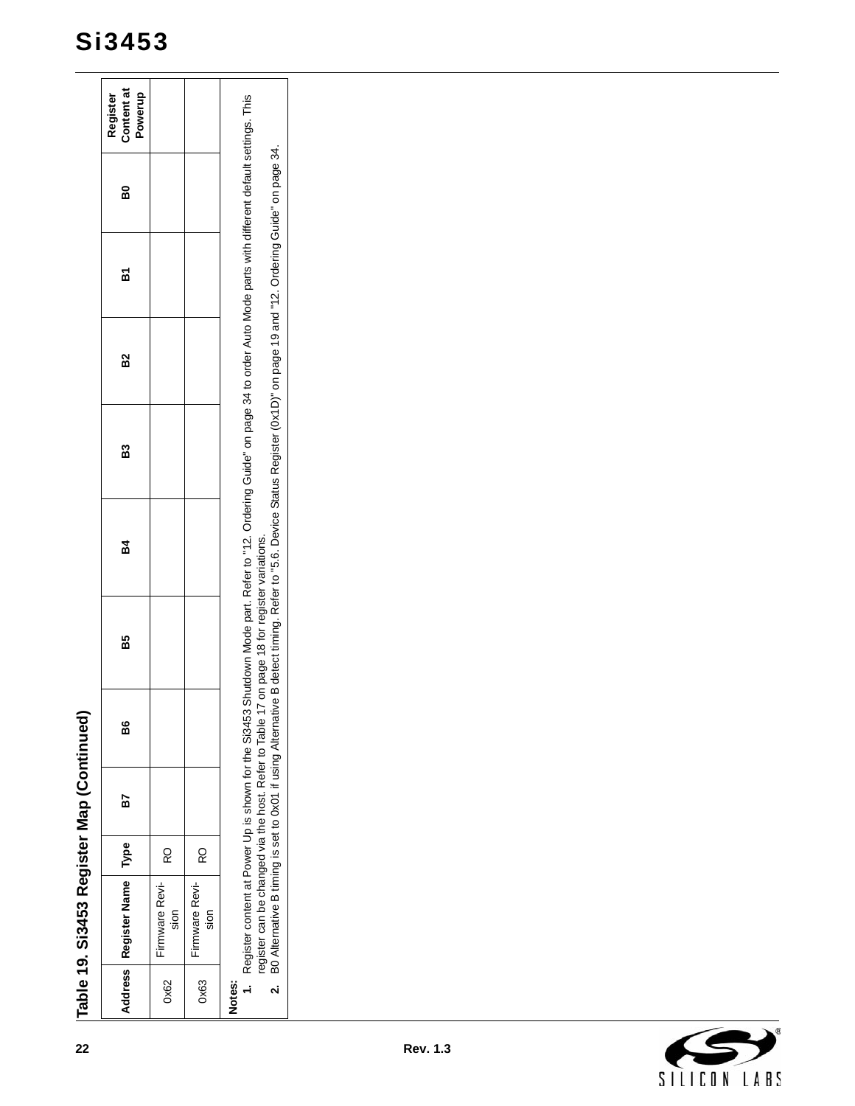|                                             | Table 19. Si3453 Register Map (Continued) |      |    |    |    |                                                                                                                                                                                                                                                                                                                                                                                                                       |    |                |   |    |                                   |
|---------------------------------------------|-------------------------------------------|------|----|----|----|-----------------------------------------------------------------------------------------------------------------------------------------------------------------------------------------------------------------------------------------------------------------------------------------------------------------------------------------------------------------------------------------------------------------------|----|----------------|---|----|-----------------------------------|
| Address                                     | Register Name                             | Type | 57 | 86 | B5 | <b>B4</b>                                                                                                                                                                                                                                                                                                                                                                                                             | B3 | B <sub>2</sub> | ă | BO | Content at<br>Powerup<br>Register |
| 0x62                                        | Firmware Revi-<br>sion                    | RO   |    |    |    |                                                                                                                                                                                                                                                                                                                                                                                                                       |    |                |   |    |                                   |
| 0x63                                        | Firmware Revi-<br>sion                    | RO   |    |    |    |                                                                                                                                                                                                                                                                                                                                                                                                                       |    |                |   |    |                                   |
| Notes:<br>$\div$<br>$\overline{\mathbf{a}}$ |                                           |      |    |    |    | Register content at Power Up is shown for the Si3453 Shutdown Mode part. Refer to "12. Ordering Guide" on page 34 to order Auto Mode parts with different default settings. This<br>register can be changed via the host. Refer to Table 17 on page 18 for register variations.<br>B0 Alternative B timing is set to 0x01 if using Alternative B detect timing. Refer to "5.6. Device Status Register (0x1D)" on page |    |                |   |    |                                   |
|                                             |                                           |      |    |    |    |                                                                                                                                                                                                                                                                                                                                                                                                                       |    |                |   |    |                                   |
|                                             |                                           |      |    |    |    |                                                                                                                                                                                                                                                                                                                                                                                                                       |    |                |   |    |                                   |
|                                             |                                           |      |    |    |    |                                                                                                                                                                                                                                                                                                                                                                                                                       |    |                |   |    |                                   |
|                                             |                                           |      |    |    |    |                                                                                                                                                                                                                                                                                                                                                                                                                       |    |                |   |    |                                   |
| ົ∢                                          |                                           |      |    |    |    |                                                                                                                                                                                                                                                                                                                                                                                                                       |    |                |   |    |                                   |

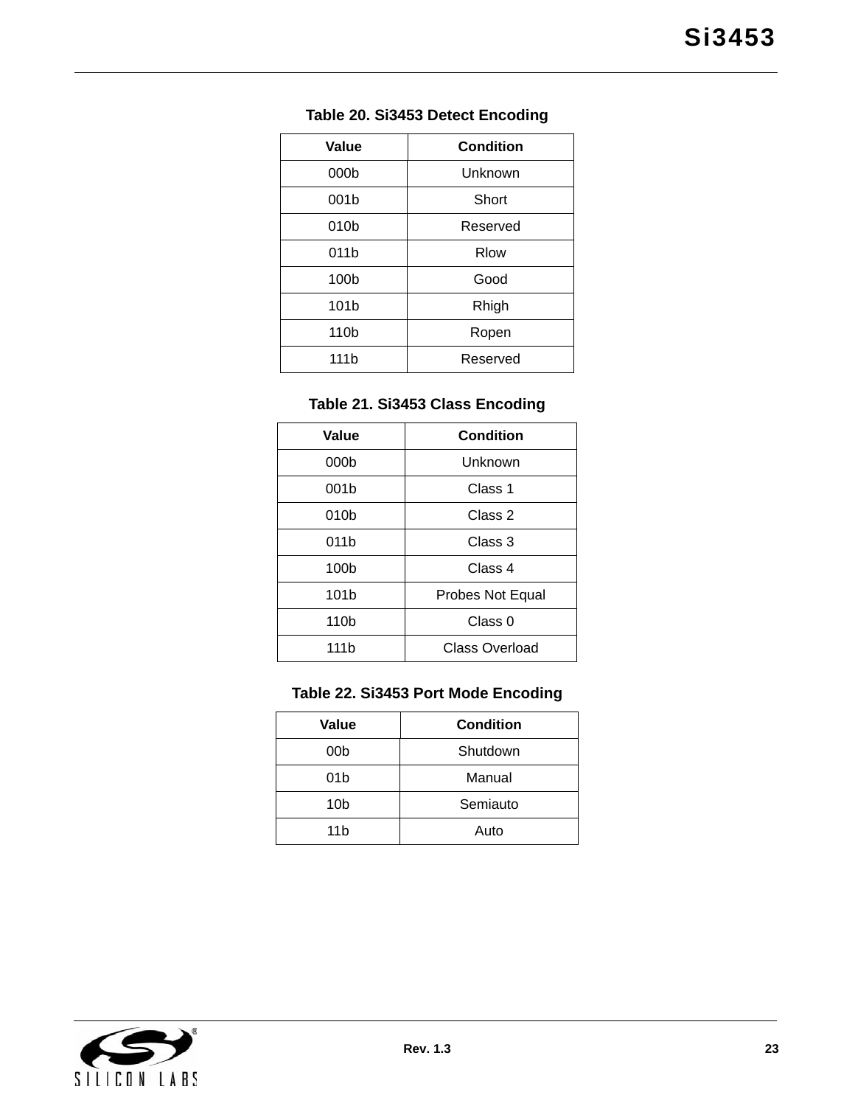| Value            | <b>Condition</b> |  |
|------------------|------------------|--|
| 000 <sub>b</sub> | Unknown          |  |
| 001b             | Short            |  |
| 010 <sub>b</sub> | Reserved         |  |
| 011b             | <b>Rlow</b>      |  |
| 100 <sub>b</sub> | Good             |  |
| 101b             | Rhigh            |  |
| 110 <sub>b</sub> | Ropen            |  |
| 111 <sub>b</sub> | Reserved         |  |

### **Table 20. Si3453 Detect Encoding**

# **Table 21. Si3453 Class Encoding**

| Value            | <b>Condition</b> |  |
|------------------|------------------|--|
| 000 <sub>b</sub> | Unknown          |  |
| 001b             | Class 1          |  |
| 010b             | Class 2          |  |
| 011b             | Class 3          |  |
| 100 <sub>b</sub> | Class 4          |  |
| 101 <sub>b</sub> | Probes Not Equal |  |
| 110 <sub>b</sub> | Class 0          |  |
| 111b             | Class Overload   |  |

### **Table 22. Si3453 Port Mode Encoding**

| Value           | <b>Condition</b> |  |
|-----------------|------------------|--|
| 00b             | Shutdown         |  |
| 01 <sub>b</sub> | Manual           |  |
| 10 <sub>b</sub> | Semiauto         |  |
| 11 <sub>b</sub> | Auto             |  |

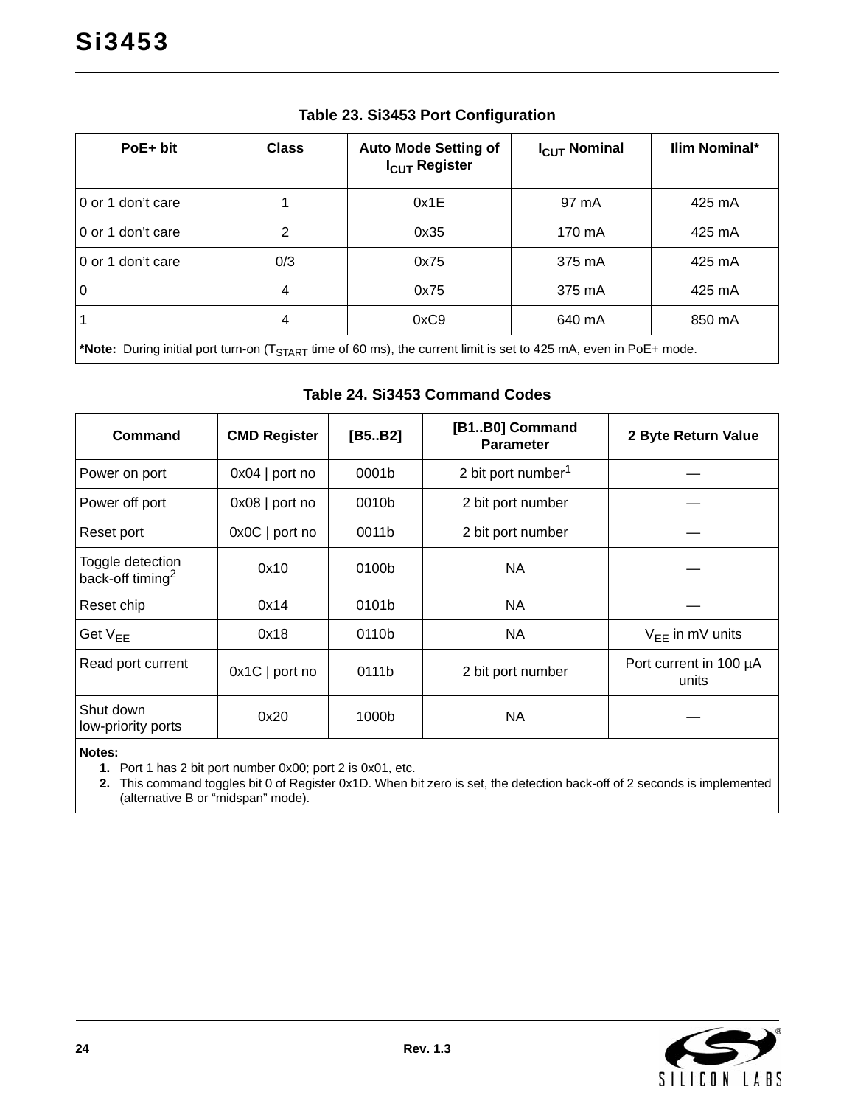<span id="page-23-1"></span>

| $PoE + bit$       | <b>Class</b> | <b>Auto Mode Setting of</b><br>I <sub>CUT</sub> Register                                                                            | $I_{CUT}$ Nominal | <b>Ilim Nominal*</b> |
|-------------------|--------------|-------------------------------------------------------------------------------------------------------------------------------------|-------------------|----------------------|
| 0 or 1 don't care |              | 0x1E                                                                                                                                | 97 mA             | 425 mA               |
| 0 or 1 don't care | 2            | 0x35                                                                                                                                | 170 mA            | 425 mA               |
| 0 or 1 don't care | 0/3          | 0x75                                                                                                                                | 375 mA            | 425 mA               |
| l O               | 4            | 0x75                                                                                                                                | 375 mA            | 425 mA               |
|                   | 4            | 0xC9                                                                                                                                | 640 mA            | 850 mA               |
|                   |              | *Note: During initial port turn-on $(T_{\text{max}} - \text{ time of 60 ms})$ the current limit is set to 125 m A even in PoE+ mode |                   |                      |

#### **Table 23. Si3453 Port Configuration**

**\*Note:** During initial port turn-on (TSTART time of 60 ms), the current limit is set to 425 mA, even in PoE+ mode.

#### **Table 24. Si3453 Command Codes**

<span id="page-23-0"></span>

| Command                                          | <b>CMD Register</b> | [B5B2] | [B1B0] Command<br><b>Parameter</b> | 2 Byte Return Value             |
|--------------------------------------------------|---------------------|--------|------------------------------------|---------------------------------|
| Power on port                                    | $0x04$   port no    | 0001b  | 2 bit port number <sup>1</sup>     |                                 |
| Power off port                                   | $0x08$   port no    | 0010b  | 2 bit port number                  |                                 |
| Reset port                                       | $0x0C$   port no    | 0011b  | 2 bit port number                  |                                 |
| Toggle detection<br>back-off timing <sup>2</sup> | 0x10                | 0100b  | <b>NA</b>                          |                                 |
| Reset chip                                       | 0x14                | 0101b  | <b>NA</b>                          |                                 |
| Get $V_{FF}$                                     | 0x18                | 0110b  | NA                                 | $V_{FF}$ in mV units            |
| Read port current                                | $0x1C$   port no    | 0111b  | 2 bit port number                  | Port current in 100 µA<br>units |
| Shut down<br>low-priority ports                  | 0x20                | 1000b  | <b>NA</b>                          |                                 |

<span id="page-23-3"></span>**Notes:**

**1.** Port 1 has 2 bit port number 0x00; port 2 is 0x01, etc.

<span id="page-23-2"></span>**2.** This command toggles bit 0 of Register 0x1D. When bit zero is set, the detection back-off of 2 seconds is implemented (alternative B or "midspan" mode).

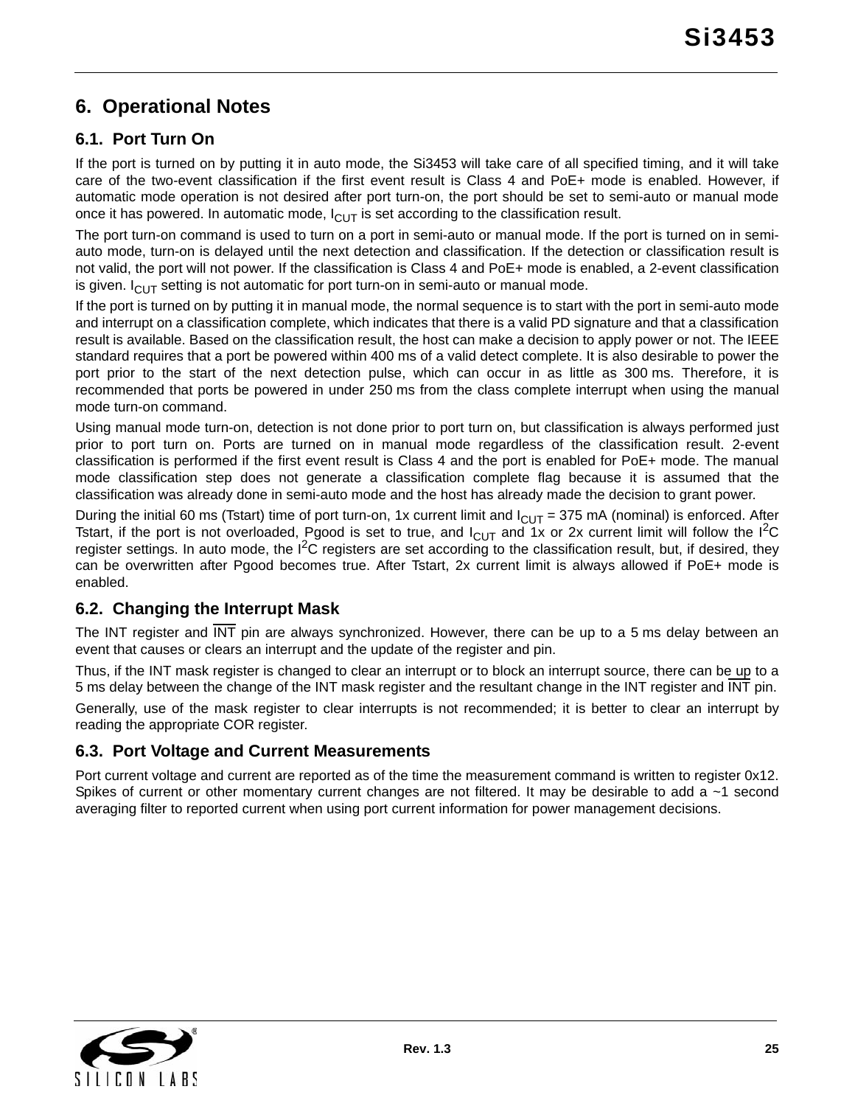# <span id="page-24-0"></span>**6. Operational Notes**

# <span id="page-24-1"></span>**6.1. Port Turn On**

If the port is turned on by putting it in auto mode, the Si3453 will take care of all specified timing, and it will take care of the two-event classification if the first event result is Class 4 and PoE+ mode is enabled. However, if automatic mode operation is not desired after port turn-on, the port should be set to semi-auto or manual mode once it has powered. In automatic mode,  $I_{\text{CUT}}$  is set according to the classification result.

The port turn-on command is used to turn on a port in semi-auto or manual mode. If the port is turned on in semiauto mode, turn-on is delayed until the next detection and classification. If the detection or classification result is not valid, the port will not power. If the classification is Class 4 and PoE+ mode is enabled, a 2-event classification is given.  $I_{\text{Cl}}$  setting is not automatic for port turn-on in semi-auto or manual mode.

If the port is turned on by putting it in manual mode, the normal sequence is to start with the port in semi-auto mode and interrupt on a classification complete, which indicates that there is a valid PD signature and that a classification result is available. Based on the classification result, the host can make a decision to apply power or not. The IEEE standard requires that a port be powered within 400 ms of a valid detect complete. It is also desirable to power the port prior to the start of the next detection pulse, which can occur in as little as 300 ms. Therefore, it is recommended that ports be powered in under 250 ms from the class complete interrupt when using the manual mode turn-on command.

Using manual mode turn-on, detection is not done prior to port turn on, but classification is always performed just prior to port turn on. Ports are turned on in manual mode regardless of the classification result. 2-event classification is performed if the first event result is Class 4 and the port is enabled for PoE+ mode. The manual mode classification step does not generate a classification complete flag because it is assumed that the classification was already done in semi-auto mode and the host has already made the decision to grant power.

During the initial 60 ms (Tstart) time of port turn-on, 1x current limit and  $I_{\text{ClUT}}$  = 375 mA (nominal) is enforced. After Tstart, if the port is not overloaded, Pgood is set to true, and  $I_{\text{ClUT}}$  and 1x or 2x current limit will follow the I<sup>2</sup>C register settings. In auto mode, the  $I^2C$  registers are set according to the classification result, but, if desired, they can be overwritten after Pgood becomes true. After Tstart, 2x current limit is always allowed if PoE+ mode is enabled.

### <span id="page-24-2"></span>**6.2. Changing the Interrupt Mask**

The INT register and INT pin are always synchronized. However, there can be up to a 5 ms delay between an event that causes or clears an interrupt and the update of the register and pin.

Thus, if the INT mask register is changed to clear an interrupt or to block an interrupt source, there can be up to a 5 ms delay between the change of the INT mask register and the resultant change in the INT register and INT pin.

Generally, use of the mask register to clear interrupts is not recommended; it is better to clear an interrupt by reading the appropriate COR register.

### <span id="page-24-3"></span>**6.3. Port Voltage and Current Measurements**

Port current voltage and current are reported as of the time the measurement command is written to register 0x12. Spikes of current or other momentary current changes are not filtered. It may be desirable to add a ~1 second averaging filter to reported current when using port current information for power management decisions.

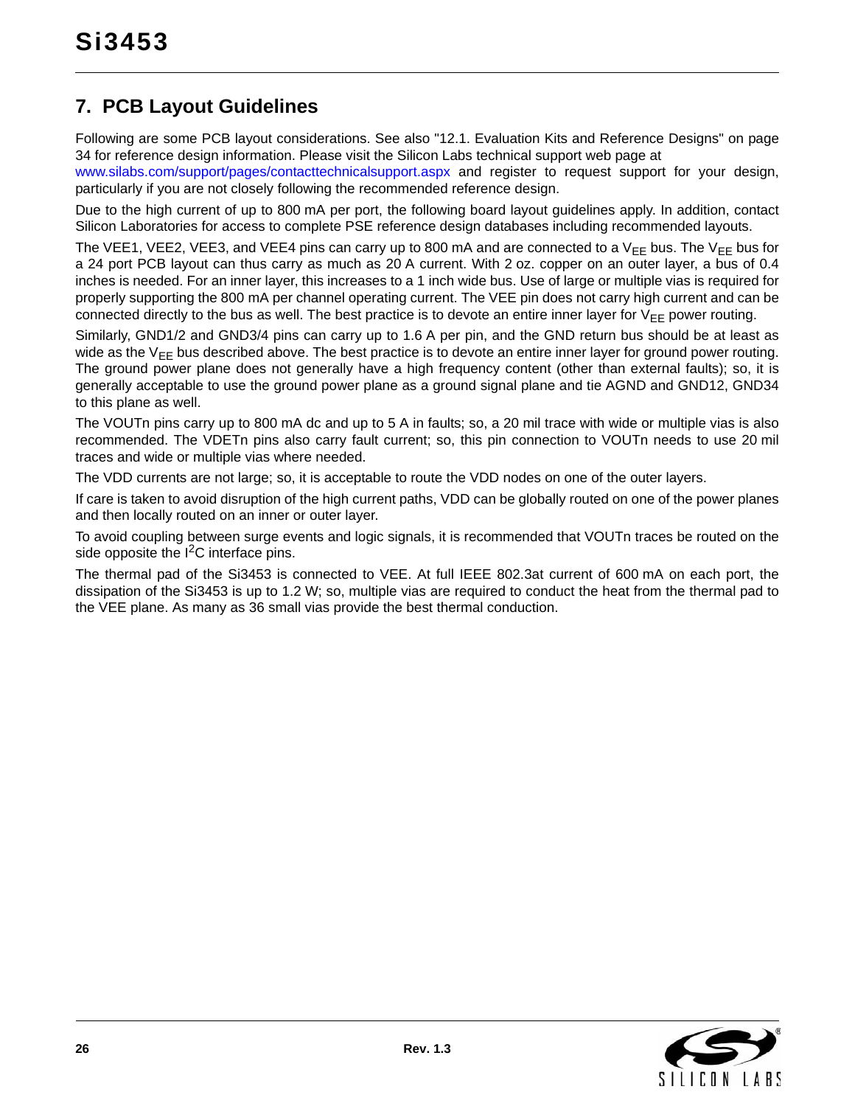# <span id="page-25-0"></span>**7. PCB Layout Guidelines**

Following are some PCB layout considerations. See also ["12.1. Evaluation Kits and Reference Designs" on page](#page-33-1) [34](#page-33-1) for reference design information. Please visit the Silicon Labs technical support web page at

[www.silabs.com/support/pages/contacttechnicalsupport.aspx](https://www.silabs.com/support/pages/contacttechnicalsupport.aspx) and register to request support for your design, particularly if you are not closely following the recommended reference design.

Due to the high current of up to 800 mA per port, the following board layout guidelines apply. In addition, contact Silicon Laboratories for access to complete PSE reference design databases including recommended layouts.

The VEE1, VEE2, VEE3, and VEE4 pins can carry up to 800 mA and are connected to a V<sub>FF</sub> bus. The V<sub>FF</sub> bus for a 24 port PCB layout can thus carry as much as 20 A current. With 2 oz. copper on an outer layer, a bus of 0.4 inches is needed. For an inner layer, this increases to a 1 inch wide bus. Use of large or multiple vias is required for properly supporting the 800 mA per channel operating current. The VEE pin does not carry high current and can be connected directly to the bus as well. The best practice is to devote an entire inner layer for  $V_{FF}$  power routing.

Similarly, GND1/2 and GND3/4 pins can carry up to 1.6 A per pin, and the GND return bus should be at least as wide as the  $V_{FF}$  bus described above. The best practice is to devote an entire inner layer for ground power routing. The ground power plane does not generally have a high frequency content (other than external faults); so, it is generally acceptable to use the ground power plane as a ground signal plane and tie AGND and GND12, GND34 to this plane as well.

The VOUTn pins carry up to 800 mA dc and up to 5 A in faults; so, a 20 mil trace with wide or multiple vias is also recommended. The VDETn pins also carry fault current; so, this pin connection to VOUTn needs to use 20 mil traces and wide or multiple vias where needed.

The VDD currents are not large; so, it is acceptable to route the VDD nodes on one of the outer layers.

If care is taken to avoid disruption of the high current paths, VDD can be globally routed on one of the power planes and then locally routed on an inner or outer layer.

To avoid coupling between surge events and logic signals, it is recommended that VOUTn traces be routed on the side opposite the  $I^2C$  interface pins.

The thermal pad of the Si3453 is connected to VEE. At full IEEE 802.3at current of 600 mA on each port, the dissipation of the Si3453 is up to 1.2 W; so, multiple vias are required to conduct the heat from the thermal pad to the VEE plane. As many as 36 small vias provide the best thermal conduction.

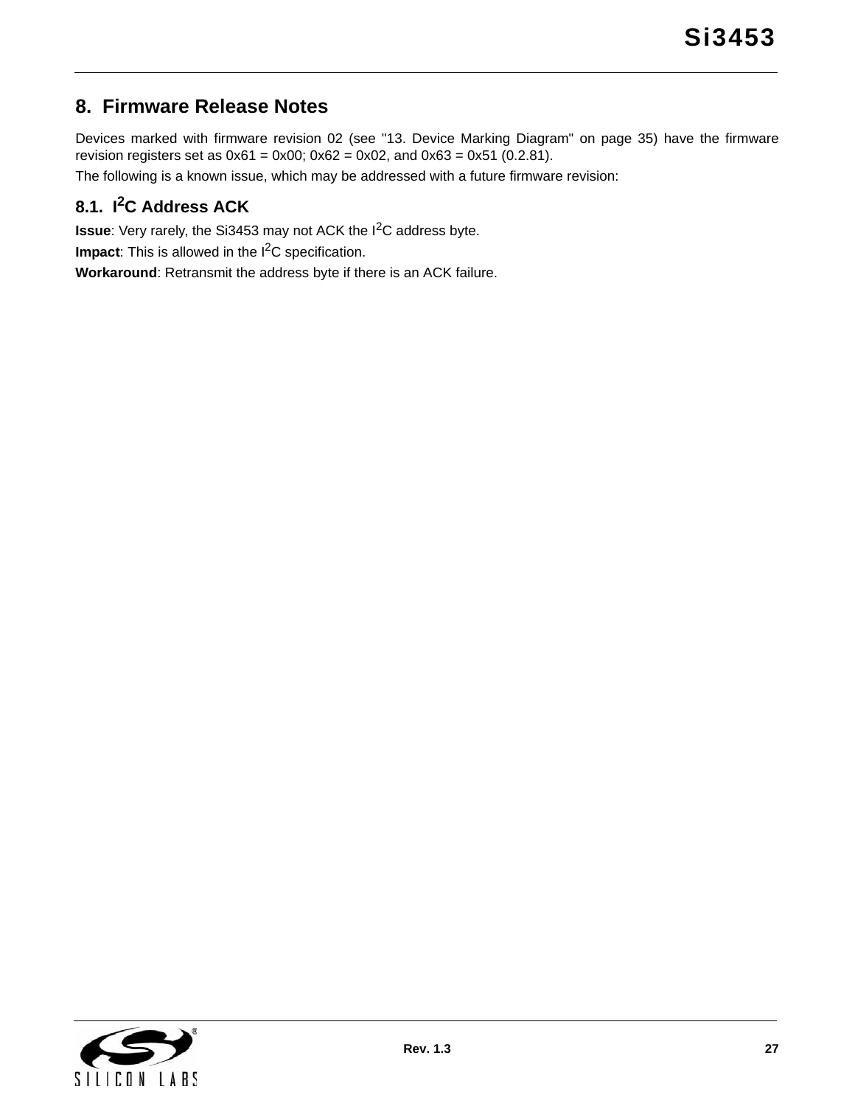# <span id="page-26-0"></span>**8. Firmware Release Notes**

Devices marked with firmware revision 02 (see ["13. Device Marking Diagram" on page 35](#page-34-0)) have the firmware revision registers set as  $0x61 = 0x00$ ;  $0x62 = 0x02$ , and  $0x63 = 0x51$  (0.2.81).

The following is a known issue, which may be addressed with a future firmware revision:

# <span id="page-26-1"></span>**8.1. I2C Address ACK**

**Issue**: Very rarely, the Si3453 may not ACK the I<sup>2</sup>C address byte.

**Impact**: This is allowed in the I<sup>2</sup>C specification.

**Workaround**: Retransmit the address byte if there is an ACK failure.

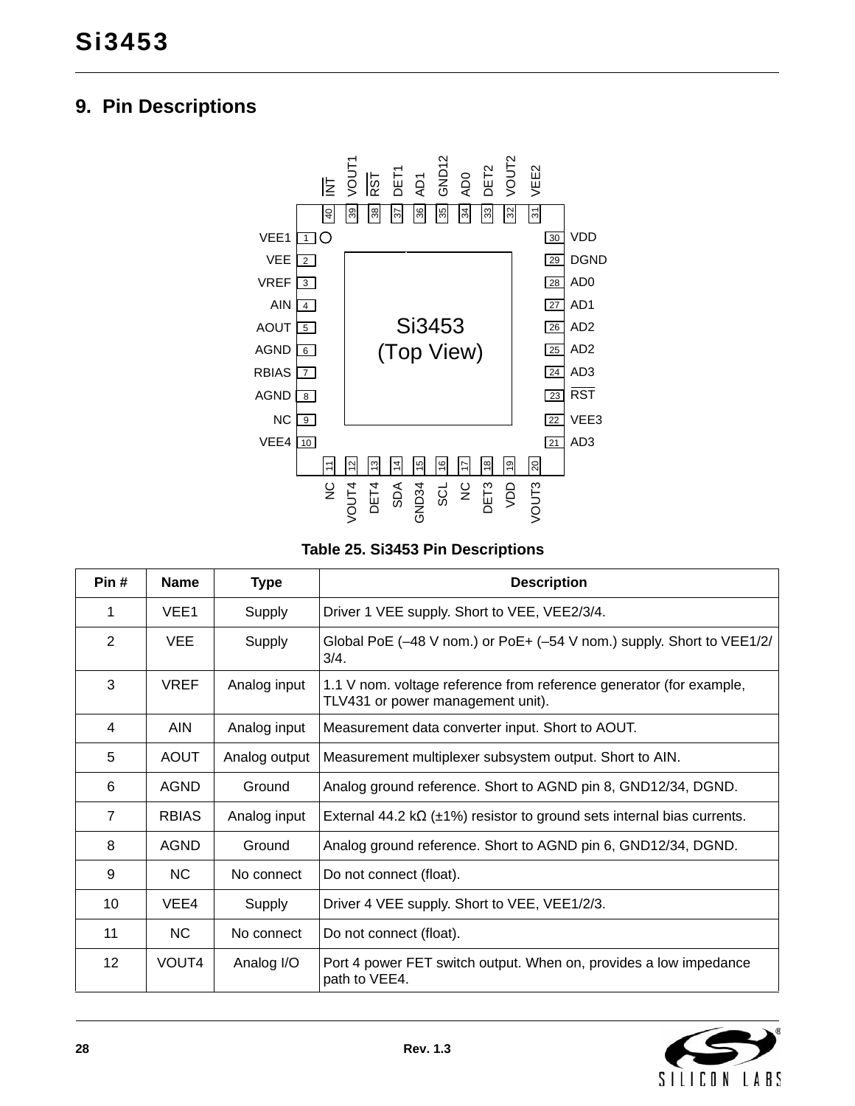# <span id="page-27-0"></span>**9. Pin Descriptions**



**Table 25. Si3453 Pin Descriptions** 

| Pin#            | <b>Name</b>      | <b>Type</b>   | <b>Description</b>                                                                                       |
|-----------------|------------------|---------------|----------------------------------------------------------------------------------------------------------|
| 1               | VEE <sub>1</sub> | Supply        | Driver 1 VEE supply. Short to VEE, VEE2/3/4.                                                             |
| 2               | <b>VEE</b>       | Supply        | Global PoE $(-48 \text{ V}$ nom.) or PoE+ $(-54 \text{ V}$ nom.) supply. Short to VEE1/2/<br>3/4.        |
| 3               | <b>VREF</b>      | Analog input  | 1.1 V nom. voltage reference from reference generator (for example,<br>TLV431 or power management unit). |
| 4               | AIN              | Analog input  | Measurement data converter input. Short to AOUT.                                                         |
| 5               | <b>AOUT</b>      | Analog output | Measurement multiplexer subsystem output. Short to AIN.                                                  |
| 6               | <b>AGND</b>      | Ground        | Analog ground reference. Short to AGND pin 8, GND12/34, DGND.                                            |
| $\overline{7}$  | <b>RBIAS</b>     | Analog input  | External 44.2 k $\Omega$ ( $\pm$ 1%) resistor to ground sets internal bias currents.                     |
| 8               | <b>AGND</b>      | Ground        | Analog ground reference. Short to AGND pin 6, GND12/34, DGND.                                            |
| 9               | NC.              | No connect    | Do not connect (float).                                                                                  |
| 10              | VEE4             | Supply        | Driver 4 VEE supply. Short to VEE, VEE1/2/3.                                                             |
| 11              | NC.              | No connect    | Do not connect (float).                                                                                  |
| 12 <sup>2</sup> | VOUT4            | Analog I/O    | Port 4 power FET switch output. When on, provides a low impedance<br>path to VEE4.                       |

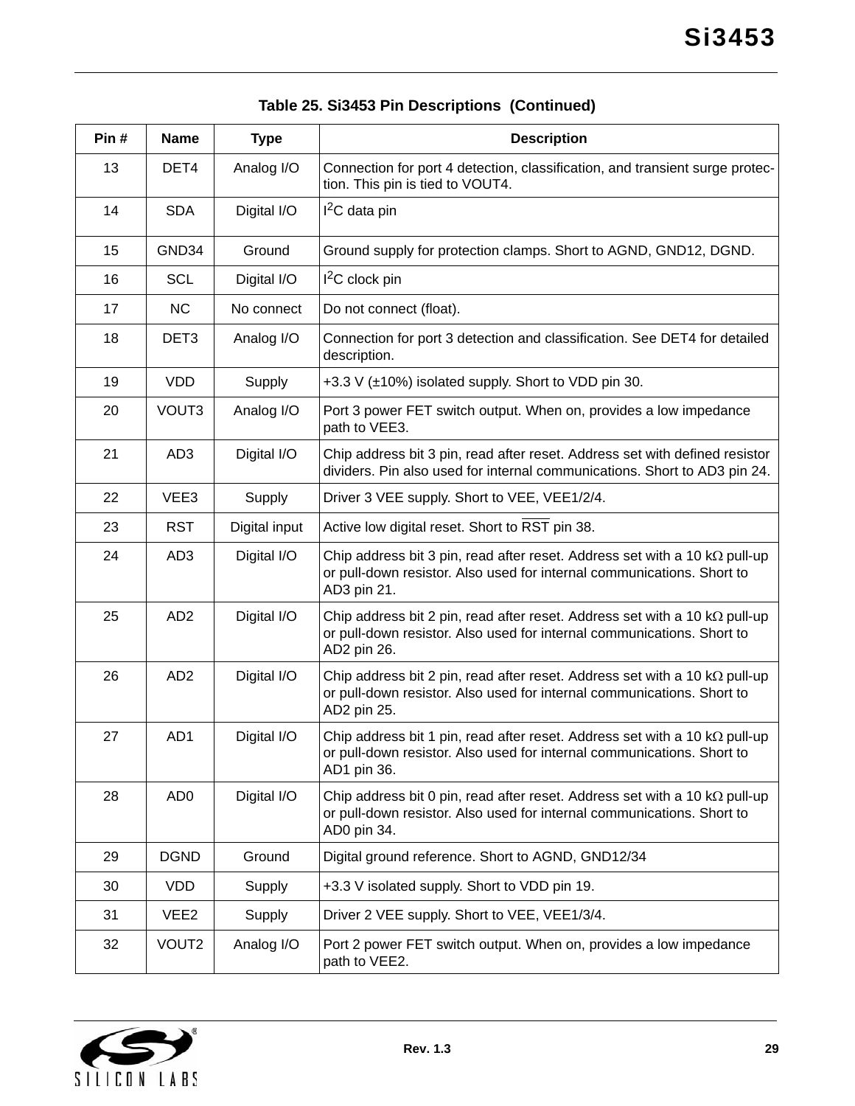| Pin# | <b>Name</b>      | <b>Type</b>   | <b>Description</b>                                                                                                                                                          |
|------|------------------|---------------|-----------------------------------------------------------------------------------------------------------------------------------------------------------------------------|
| 13   | DET4             | Analog I/O    | Connection for port 4 detection, classification, and transient surge protec-<br>tion. This pin is tied to VOUT4.                                                            |
| 14   | <b>SDA</b>       | Digital I/O   | $I2C$ data pin                                                                                                                                                              |
| 15   | GND34            | Ground        | Ground supply for protection clamps. Short to AGND, GND12, DGND.                                                                                                            |
| 16   | <b>SCL</b>       | Digital I/O   | $I2C$ clock pin                                                                                                                                                             |
| 17   | <b>NC</b>        | No connect    | Do not connect (float).                                                                                                                                                     |
| 18   | DET <sub>3</sub> | Analog I/O    | Connection for port 3 detection and classification. See DET4 for detailed<br>description.                                                                                   |
| 19   | <b>VDD</b>       | Supply        | +3.3 V (±10%) isolated supply. Short to VDD pin 30.                                                                                                                         |
| 20   | VOUT3            | Analog I/O    | Port 3 power FET switch output. When on, provides a low impedance<br>path to VEE3.                                                                                          |
| 21   | AD <sub>3</sub>  | Digital I/O   | Chip address bit 3 pin, read after reset. Address set with defined resistor<br>dividers. Pin also used for internal communications. Short to AD3 pin 24.                    |
| 22   | VEE3             | Supply        | Driver 3 VEE supply. Short to VEE, VEE1/2/4.                                                                                                                                |
| 23   | <b>RST</b>       | Digital input | Active low digital reset. Short to RST pin 38.                                                                                                                              |
| 24   | AD <sub>3</sub>  | Digital I/O   | Chip address bit 3 pin, read after reset. Address set with a 10 $k\Omega$ pull-up<br>or pull-down resistor. Also used for internal communications. Short to<br>AD3 pin 21.  |
| 25   | AD <sub>2</sub>  | Digital I/O   | Chip address bit 2 pin, read after reset. Address set with a 10 $k\Omega$ pull-up<br>or pull-down resistor. Also used for internal communications. Short to<br>AD2 pin 26.  |
| 26   | AD <sub>2</sub>  | Digital I/O   | Chip address bit 2 pin, read after reset. Address set with a 10 $k\Omega$ pull-up<br>or pull-down resistor. Also used for internal communications. Short to<br>AD2 pin 25.  |
| 27   | AD1              | Digital I/O   | Chip address bit 1 pin, read after reset. Address set with a 10 k $\Omega$ pull-up<br>or pull-down resistor. Also used for internal communications. Short to<br>AD1 pin 36. |
| 28   | AD <sub>0</sub>  | Digital I/O   | Chip address bit 0 pin, read after reset. Address set with a 10 $k\Omega$ pull-up<br>or pull-down resistor. Also used for internal communications. Short to<br>AD0 pin 34.  |
| 29   | <b>DGND</b>      | Ground        | Digital ground reference. Short to AGND, GND12/34                                                                                                                           |
| 30   | <b>VDD</b>       | Supply        | +3.3 V isolated supply. Short to VDD pin 19.                                                                                                                                |
| 31   | VEE <sub>2</sub> | Supply        | Driver 2 VEE supply. Short to VEE, VEE1/3/4.                                                                                                                                |
| 32   | VOUT2            | Analog I/O    | Port 2 power FET switch output. When on, provides a low impedance<br>path to VEE2.                                                                                          |

# **Table 25. Si3453 Pin Descriptions (Continued)**

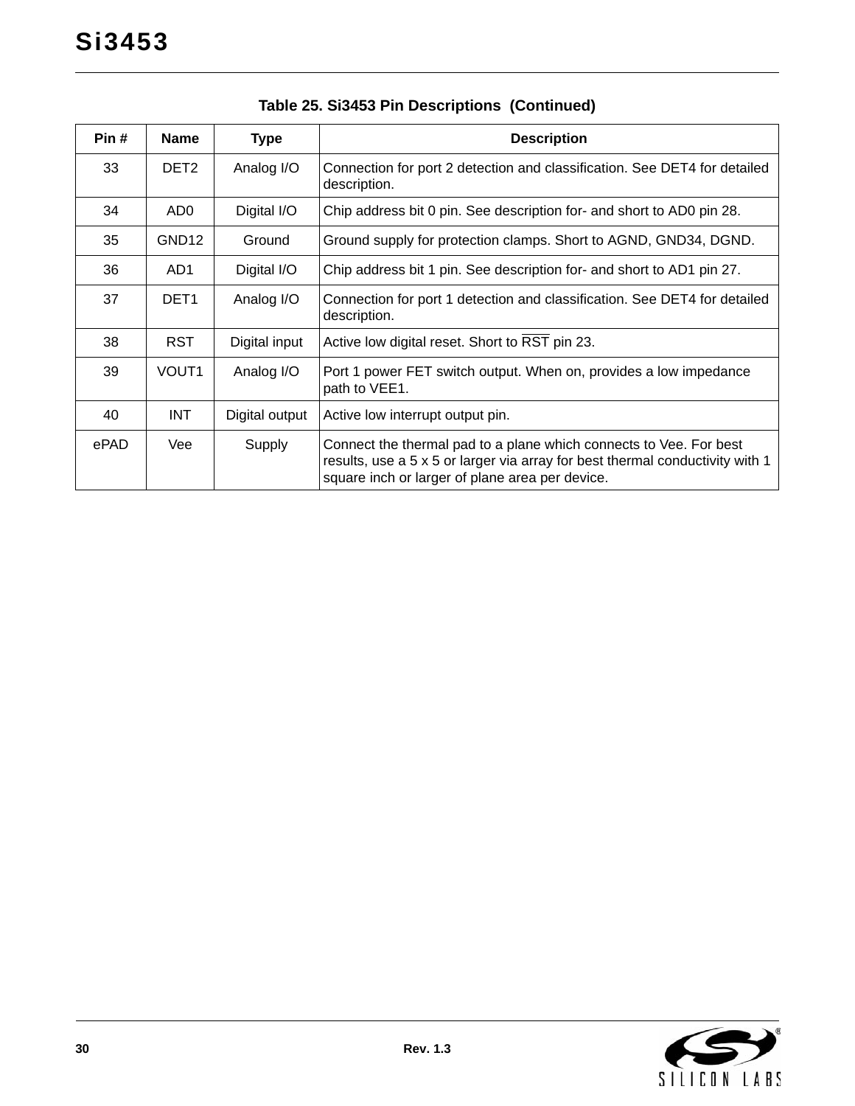| Pin# | <b>Name</b>       | Type           | <b>Description</b>                                                                                                                                                                                     |
|------|-------------------|----------------|--------------------------------------------------------------------------------------------------------------------------------------------------------------------------------------------------------|
| 33   | DET <sub>2</sub>  | Analog I/O     | Connection for port 2 detection and classification. See DET4 for detailed<br>description.                                                                                                              |
| 34   | AD0               | Digital I/O    | Chip address bit 0 pin. See description for- and short to AD0 pin 28.                                                                                                                                  |
| 35   | GND <sub>12</sub> | Ground         | Ground supply for protection clamps. Short to AGND, GND34, DGND.                                                                                                                                       |
| 36   | AD1               | Digital I/O    | Chip address bit 1 pin. See description for- and short to AD1 pin 27.                                                                                                                                  |
| 37   | DET <sub>1</sub>  | Analog I/O     | Connection for port 1 detection and classification. See DET4 for detailed<br>description.                                                                                                              |
| 38   | RST.              | Digital input  | Active low digital reset. Short to RST pin 23.                                                                                                                                                         |
| 39   | VOUT1             | Analog I/O     | Port 1 power FET switch output. When on, provides a low impedance<br>path to VEE1.                                                                                                                     |
| 40   | <b>INT</b>        | Digital output | Active low interrupt output pin.                                                                                                                                                                       |
| ePAD | Vee               | Supply         | Connect the thermal pad to a plane which connects to Vee. For best<br>results, use a 5 x 5 or larger via array for best thermal conductivity with 1<br>square inch or larger of plane area per device. |

# **Table 25. Si3453 Pin Descriptions (Continued)**

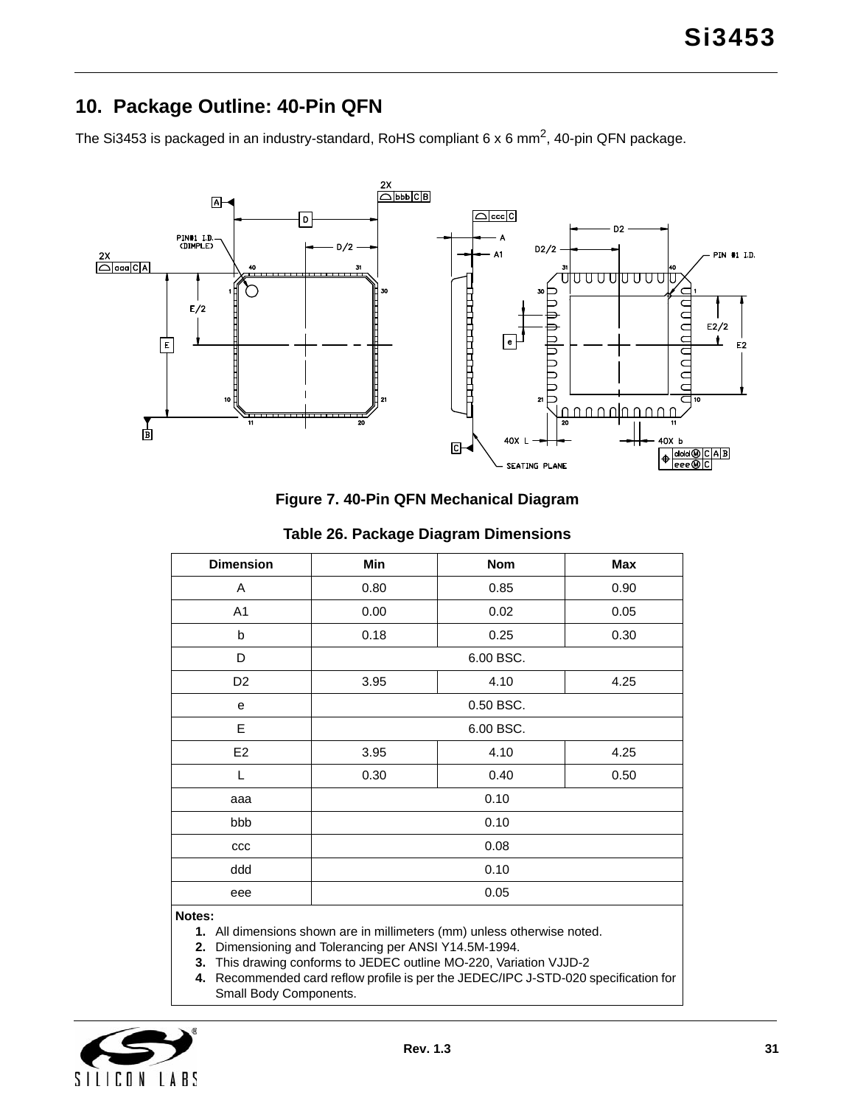# <span id="page-30-0"></span>**10. Package Outline: 40-Pin QFN**

The Si3453 is packaged in an industry-standard, RoHS compliant 6 x 6 mm<sup>2</sup>, 40-pin QFN package.



**Figure 7. 40-Pin QFN Mechanical Diagram**

| <b>Dimension</b>                                            | Min                  | <b>Nom</b> | Max  |
|-------------------------------------------------------------|----------------------|------------|------|
| Α                                                           | 0.80                 | 0.85       | 0.90 |
| A <sub>1</sub>                                              | 0.00                 | 0.02       | 0.05 |
| b                                                           | 0.18                 | 0.25       | 0.30 |
| D                                                           |                      | 6.00 BSC.  |      |
| D <sub>2</sub>                                              | 3.95                 | 4.10       | 4.25 |
| e                                                           | 0.50 BSC.            |            |      |
| E                                                           | 6.00 BSC.            |            |      |
| E2                                                          | 4.10<br>3.95<br>4.25 |            |      |
| L                                                           | 0.30<br>0.40<br>0.50 |            |      |
| aaa                                                         | 0.10                 |            |      |
| bbb                                                         | 0.10                 |            |      |
| $_{\rm ccc}$                                                | 0.08                 |            |      |
| ddd                                                         |                      | 0.10       |      |
| eee                                                         |                      | 0.05       |      |
| $\mathbf{A}$ $\mathbf{B}$ and $\mathbf{A}$ and $\mathbf{A}$ |                      |            |      |

#### **Table 26. Package Diagram Dimensions**

#### **Notes:**

**1.** All dimensions shown are in millimeters (mm) unless otherwise noted.

**2.** Dimensioning and Tolerancing per ANSI Y14.5M-1994.

**3.** This drawing conforms to JEDEC outline MO-220, Variation VJJD-2

**4.** Recommended card reflow profile is per the JEDEC/IPC J-STD-020 specification for Small Body Components.

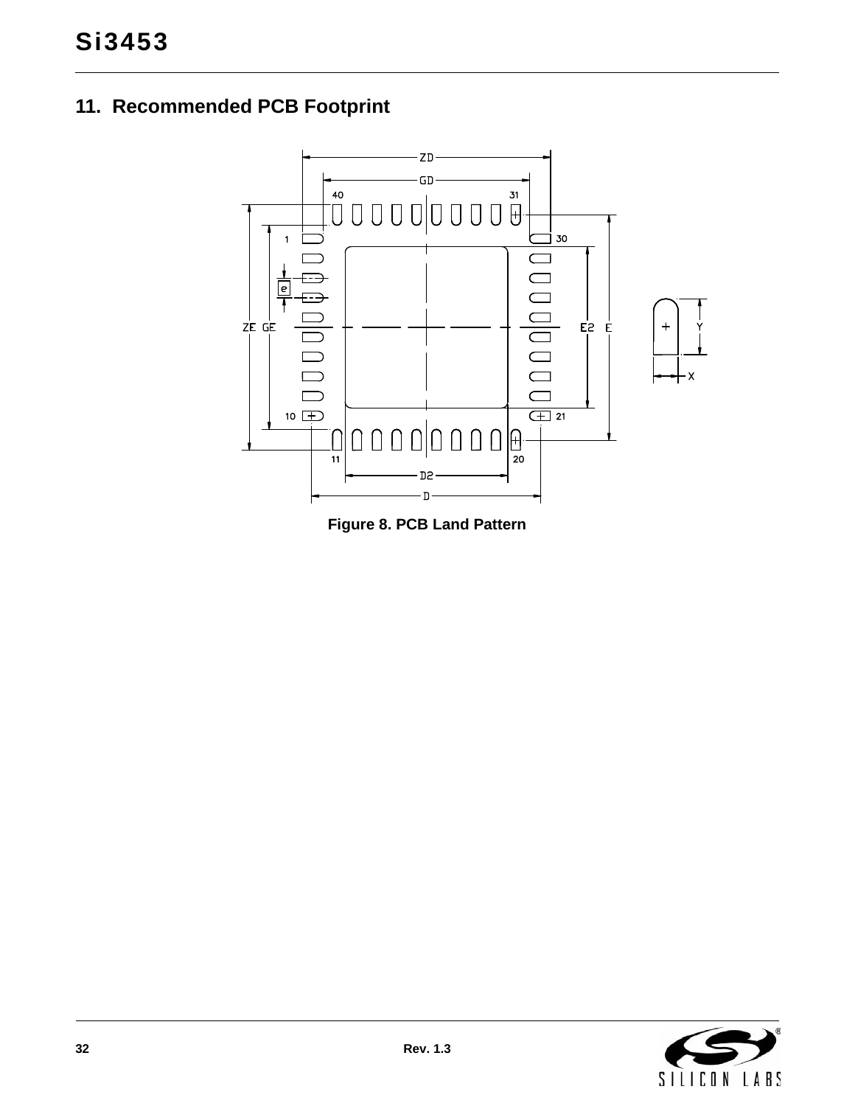# <span id="page-31-0"></span>**11. Recommended PCB Footprint**



**Figure 8. PCB Land Pattern**

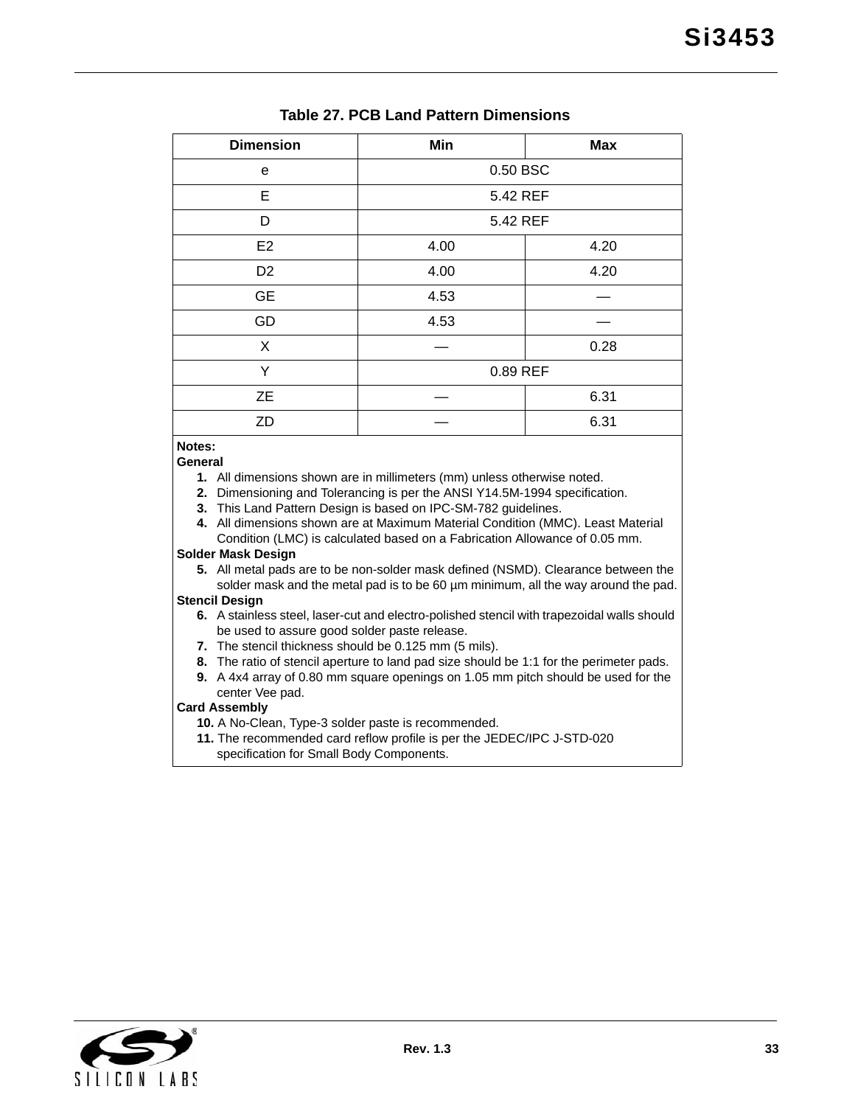| $19000$ and all $99$ and $19000$ and $19000$ |          |     |  |  |
|----------------------------------------------|----------|-----|--|--|
| <b>Dimension</b>                             | Min      | Max |  |  |
| е                                            | 0.50 BSC |     |  |  |

#### **Table 27. PCB Land Pattern Dimensions**

| e              | 0.50 BSC     |      |  |
|----------------|--------------|------|--|
| E              | 5.42 REF     |      |  |
| D              | 5.42 REF     |      |  |
| E <sub>2</sub> | 4.00         | 4.20 |  |
| D <sub>2</sub> | 4.00<br>4.20 |      |  |
| <b>GE</b>      | 4.53         |      |  |
| GD             | 4.53         |      |  |
| X              | 0.28         |      |  |
| Υ              | 0.89 REF     |      |  |
| <b>ZE</b>      | 6.31         |      |  |
| ZD             |              | 6.31 |  |

#### **Notes:**

**General**

- **1.** All dimensions shown are in millimeters (mm) unless otherwise noted.
- **2.** Dimensioning and Tolerancing is per the ANSI Y14.5M-1994 specification.
- **3.** This Land Pattern Design is based on IPC-SM-782 guidelines.
- **4.** All dimensions shown are at Maximum Material Condition (MMC). Least Material Condition (LMC) is calculated based on a Fabrication Allowance of 0.05 mm.

#### **Solder Mask Design**

**5.** All metal pads are to be non-solder mask defined (NSMD). Clearance between the solder mask and the metal pad is to be 60  $\mu$ m minimum, all the way around the pad.

#### **Stencil Design**

- **6.** A stainless steel, laser-cut and electro-polished stencil with trapezoidal walls should be used to assure good solder paste release.
- **7.** The stencil thickness should be 0.125 mm (5 mils).
- **8.** The ratio of stencil aperture to land pad size should be 1:1 for the perimeter pads.
- **9.** A 4x4 array of 0.80 mm square openings on 1.05 mm pitch should be used for the
- center Vee pad.

### **Card Assembly**

- **10.** A No-Clean, Type-3 solder paste is recommended.
- **11.** The recommended card reflow profile is per the JEDEC/IPC J-STD-020 specification for Small Body Components.

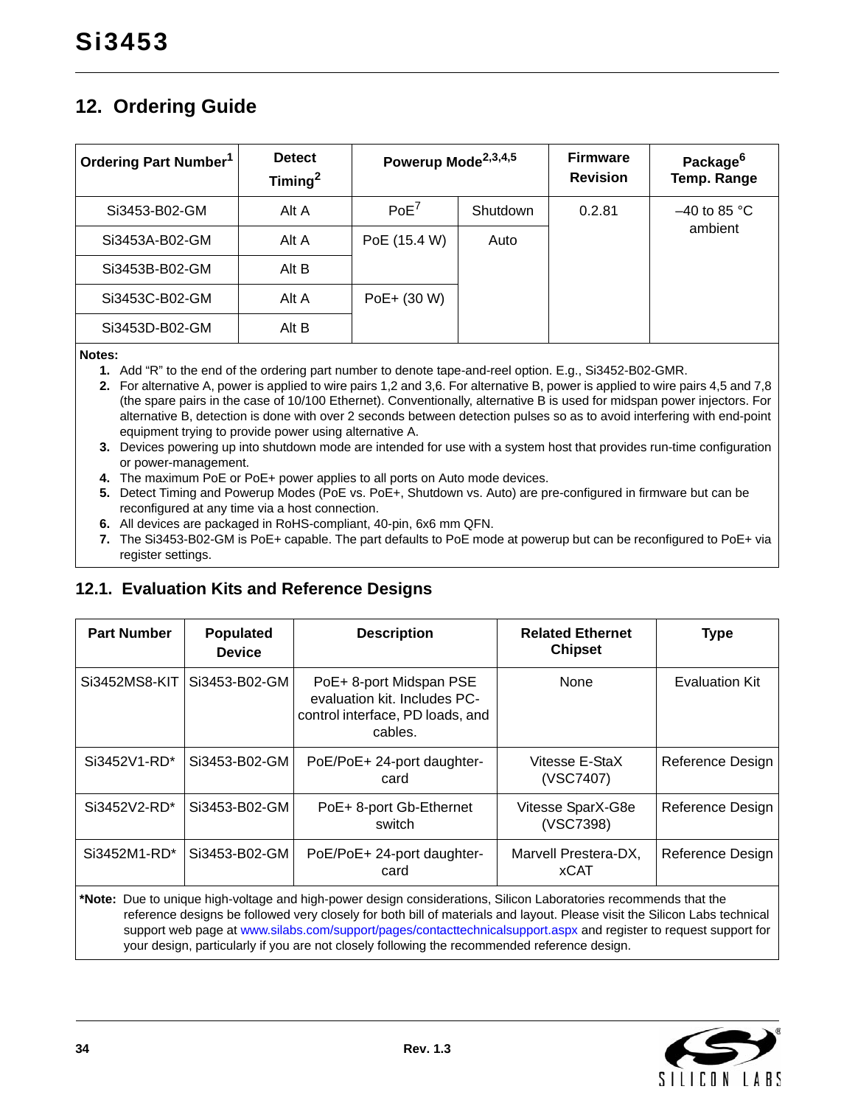# <span id="page-33-0"></span>**12. Ordering Guide**

| Ordering Part Number <sup>1</sup> | <b>Detect</b><br>Timing $^2$ | Powerup Mode <sup>2,3,4,5</sup> |          | <b>Firmware</b><br><b>Revision</b> | Package <sup>6</sup><br>Temp. Range |
|-----------------------------------|------------------------------|---------------------------------|----------|------------------------------------|-------------------------------------|
| Si3453-B02-GM                     | Alt A                        | PoE <sup>7</sup>                | Shutdown | 0.2.81                             | $-40$ to 85 °C                      |
| Si3453A-B02-GM                    | Alt A                        | PoE (15.4 W)                    | Auto     |                                    | ambient                             |
| Si3453B-B02-GM                    | Alt B                        |                                 |          |                                    |                                     |
| Si3453C-B02-GM                    | Alt A                        | PoE+ (30 W)                     |          |                                    |                                     |
| Si3453D-B02-GM                    | Alt B                        |                                 |          |                                    |                                     |

<span id="page-33-4"></span>**Notes:**

- **1.** Add "R" to the end of the ordering part number to denote tape-and-reel option. E.g., Si3452-B02-GMR.
- <span id="page-33-5"></span>**2.** For alternative A, power is applied to wire pairs 1,2 and 3,6. For alternative B, power is applied to wire pairs 4,5 and 7,8 (the spare pairs in the case of 10/100 Ethernet). Conventionally, alternative B is used for midspan power injectors. For alternative B, detection is done with over 2 seconds between detection pulses so as to avoid interfering with end-point equipment trying to provide power using alternative A.
- <span id="page-33-6"></span>**3.** Devices powering up into shutdown mode are intended for use with a system host that provides run-time configuration or power-management.
- <span id="page-33-7"></span>**4.** The maximum PoE or PoE+ power applies to all ports on Auto mode devices.
- <span id="page-33-2"></span>**5.** Detect Timing and Powerup Modes (PoE vs. PoE+, Shutdown vs. Auto) are pre-configured in firmware but can be reconfigured at any time via a host connection.
- <span id="page-33-8"></span>**6.** All devices are packaged in RoHS-compliant, 40-pin, 6x6 mm QFN.
- <span id="page-33-3"></span>**7.** The Si3453-B02-GM is PoE+ capable. The part defaults to PoE mode at powerup but can be reconfigured to PoE+ via register settings.

### <span id="page-33-1"></span>**12.1. Evaluation Kits and Reference Designs**

| <b>Part Number</b>                                                                                                                                                                                                                            | <b>Populated</b><br><b>Device</b> | <b>Description</b>                                                                                     | <b>Related Ethernet</b><br><b>Chipset</b> | <b>Type</b>           |
|-----------------------------------------------------------------------------------------------------------------------------------------------------------------------------------------------------------------------------------------------|-----------------------------------|--------------------------------------------------------------------------------------------------------|-------------------------------------------|-----------------------|
| Si3452MS8-KIT                                                                                                                                                                                                                                 | Si3453-B02-GM                     | PoE+ 8-port Midspan PSE<br>evaluation kit. Includes PC-<br>control interface, PD loads, and<br>cables. | None                                      | <b>Evaluation Kit</b> |
| Si3452V1-RD*                                                                                                                                                                                                                                  | Si3453-B02-GM                     | PoE/PoE+ 24-port daughter-<br>card                                                                     | Vitesse E-StaX<br>(VSC7407)               | Reference Design      |
| Si3452V2-RD*                                                                                                                                                                                                                                  | Si3453-B02-GM                     | PoE+ 8-port Gb-Ethernet<br>switch                                                                      | Vitesse SparX-G8e<br>(VSC7398)            | Reference Design      |
| Si3452M1-RD*                                                                                                                                                                                                                                  | Si3453-B02-GM                     | PoE/PoE+ 24-port daughter-<br>card                                                                     | Marvell Prestera-DX,<br><b>xCAT</b>       | Reference Design      |
| *Note: Due to unique high-voltage and high-power design considerations, Silicon Laboratories recommends that the<br>reference designs be followed very closely for both bill of materials and layout. Please visit the Silicon Labs technical |                                   |                                                                                                        |                                           |                       |

[support web page at](https://www.silabs.com/support/pages/contacttechnicalsupport.aspx) www.silabs.com/support/pages/contacttechnicalsupport.aspx and register to request support for your design, particularly if you are not closely following the recommended reference design.

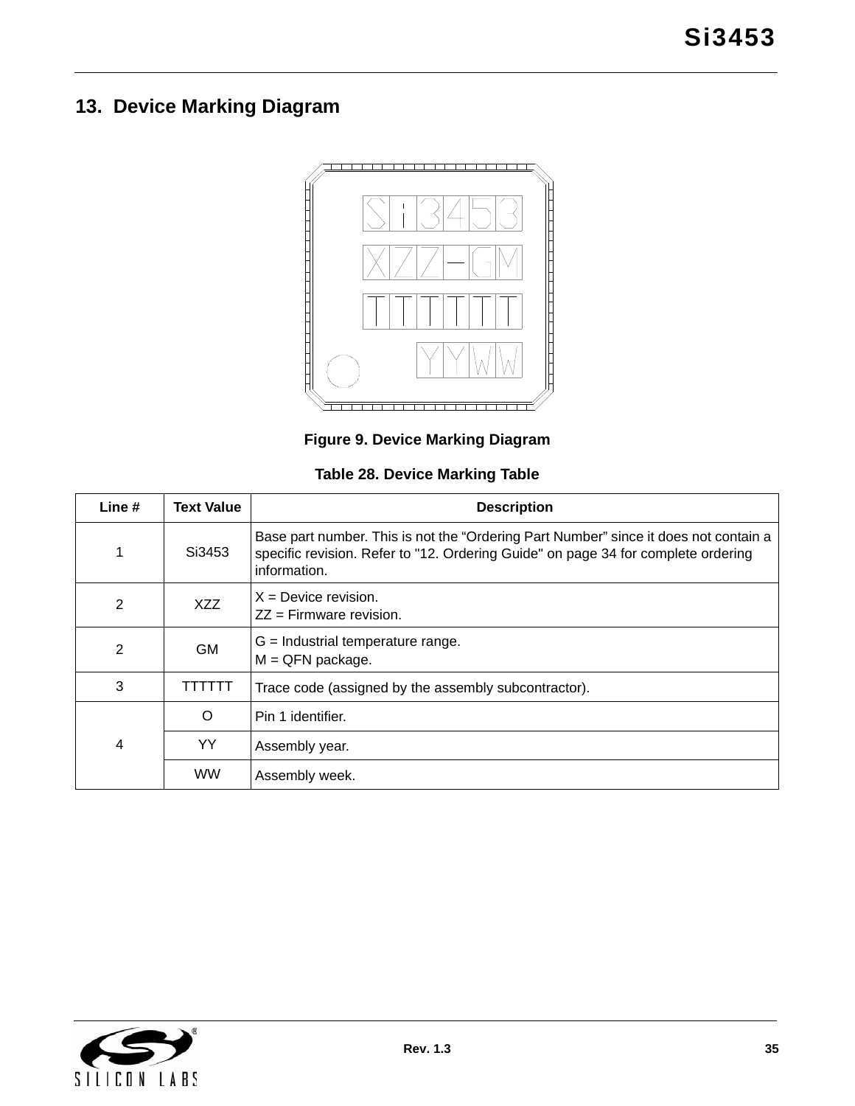# <span id="page-34-0"></span>**13. Device Marking Diagram**



**Figure 9. Device Marking Diagram**

| Table 28. Device Marking Table |  |  |  |  |  |
|--------------------------------|--|--|--|--|--|
|--------------------------------|--|--|--|--|--|

<span id="page-34-2"></span><span id="page-34-1"></span>

| Line #         | Text Value | <b>Description</b>                                                                                                                                                                        |
|----------------|------------|-------------------------------------------------------------------------------------------------------------------------------------------------------------------------------------------|
| 1              | Si3453     | Base part number. This is not the "Ordering Part Number" since it does not contain a<br>specific revision. Refer to "12. Ordering Guide" on page 34 for complete ordering<br>information. |
| 2              | XZZ        | $X =$ Device revision.<br>$ZZ =$ Firmware revision.                                                                                                                                       |
| $\overline{2}$ | <b>GM</b>  | $G =$ Industrial temperature range.<br>$M = QFN$ package.                                                                                                                                 |
| 3              | .          | Trace code (assigned by the assembly subcontractor).                                                                                                                                      |
|                | $\circ$    | Pin 1 identifier.                                                                                                                                                                         |
| 4              | YY         | Assembly year.                                                                                                                                                                            |
|                | <b>WW</b>  | Assembly week.                                                                                                                                                                            |

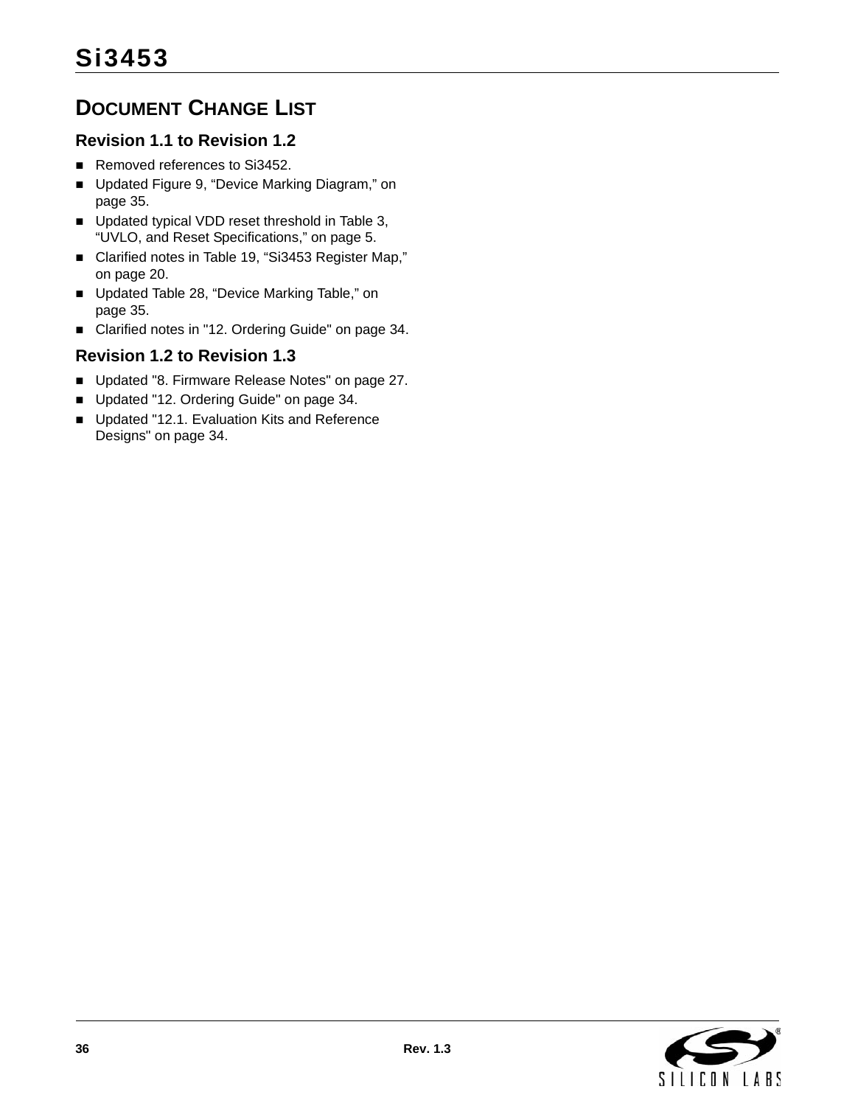# <span id="page-35-0"></span>**DOCUMENT CHANGE LIST**

# **Revision 1.1 to Revision 1.2**

- Removed references to Si3452.
- Updated Figure 9, "Device Marking Diagram," on [page 35](#page-34-1).
- Updated typical VDD reset threshold in Table 3, ["UVLO, and Reset Specifications," on page 5](#page-4-1).
- Clarified notes in Table 19, "Si3453 Register Map," [on page 20](#page-19-2).
- Updated Table 28, "Device Marking Table," on [page 35](#page-34-2).
- Clarified notes in ["12. Ordering Guide" on page 34](#page-33-0).

# **Revision 1.2 to Revision 1.3**

- Updated ["8. Firmware Release Notes" on page 27.](#page-26-0)
- Updated ["12. Ordering Guide" on page 34.](#page-33-0)
- Updated "12.1. Evaluation Kits and Reference [Designs" on page 34.](#page-33-1)

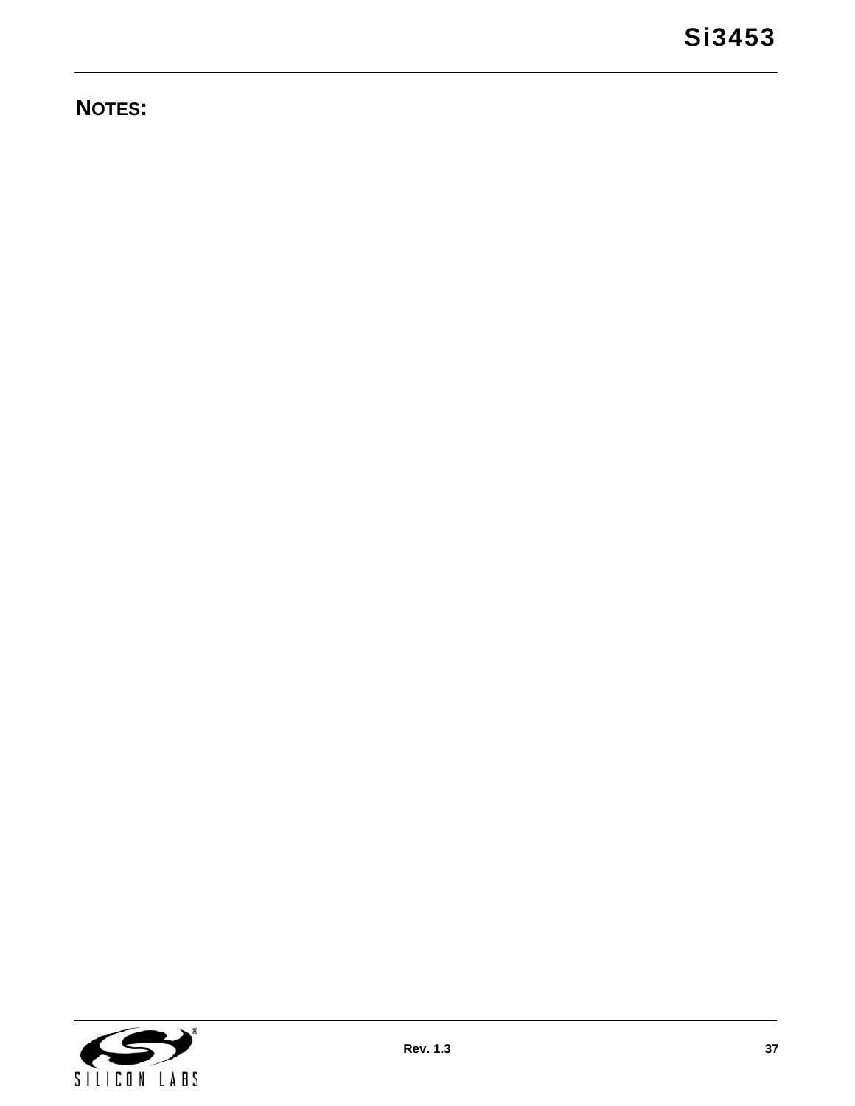# **NOTES:**